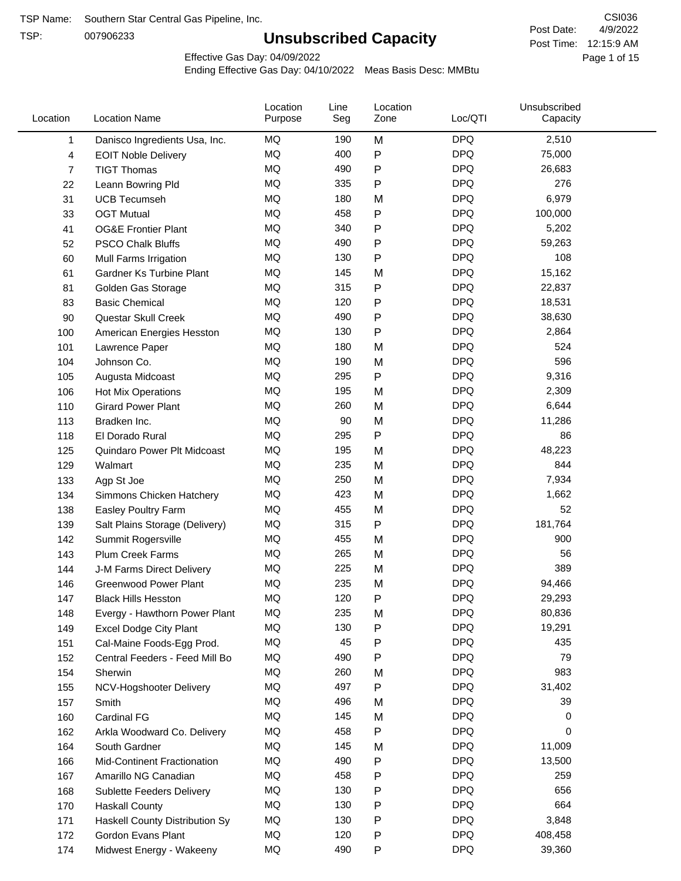TSP:

# **Unsubscribed Capacity**

4/9/2022 Page 1 of 15 Post Time: 12:15:9 AM CSI036 Post Date:

Effective Gas Day: 04/09/2022

| Location | <b>Location Name</b>             | Location<br>Purpose | Line<br>Seg | Location<br>Zone | Loc/QTI    | Unsubscribed<br>Capacity |  |
|----------|----------------------------------|---------------------|-------------|------------------|------------|--------------------------|--|
| 1        | Danisco Ingredients Usa, Inc.    | MQ                  | 190         | M                | <b>DPQ</b> | 2,510                    |  |
| 4        | <b>EOIT Noble Delivery</b>       | <b>MQ</b>           | 400         | P                | <b>DPQ</b> | 75,000                   |  |
| 7        | <b>TIGT Thomas</b>               | <b>MQ</b>           | 490         | P                | <b>DPQ</b> | 26,683                   |  |
| 22       | Leann Bowring Pld                | <b>MQ</b>           | 335         | P                | <b>DPQ</b> | 276                      |  |
| 31       | <b>UCB Tecumseh</b>              | <b>MQ</b>           | 180         | M                | <b>DPQ</b> | 6,979                    |  |
| 33       | <b>OGT Mutual</b>                | MQ                  | 458         | P                | <b>DPQ</b> | 100,000                  |  |
| 41       | <b>OG&amp;E Frontier Plant</b>   | MQ                  | 340         | P                | <b>DPQ</b> | 5,202                    |  |
| 52       | <b>PSCO Chalk Bluffs</b>         | MQ                  | 490         | P                | <b>DPQ</b> | 59,263                   |  |
| 60       | Mull Farms Irrigation            | MQ                  | 130         | Ρ                | <b>DPQ</b> | 108                      |  |
| 61       | Gardner Ks Turbine Plant         | MQ                  | 145         | M                | <b>DPQ</b> | 15,162                   |  |
| 81       | Golden Gas Storage               | <b>MQ</b>           | 315         | P                | <b>DPQ</b> | 22,837                   |  |
| 83       | <b>Basic Chemical</b>            | <b>MQ</b>           | 120         | Ρ                | <b>DPQ</b> | 18,531                   |  |
| 90       | Questar Skull Creek              | MQ                  | 490         | P                | <b>DPQ</b> | 38,630                   |  |
| 100      | American Energies Hesston        | MQ                  | 130         | Ρ                | <b>DPQ</b> | 2,864                    |  |
| 101      | Lawrence Paper                   | MQ                  | 180         | M                | <b>DPQ</b> | 524                      |  |
| 104      | Johnson Co.                      | MQ                  | 190         | M                | <b>DPQ</b> | 596                      |  |
| 105      | Augusta Midcoast                 | MQ                  | 295         | P                | <b>DPQ</b> | 9,316                    |  |
| 106      | Hot Mix Operations               | MQ                  | 195         | M                | <b>DPQ</b> | 2,309                    |  |
| 110      | <b>Girard Power Plant</b>        | MQ                  | 260         | M                | <b>DPQ</b> | 6,644                    |  |
| 113      | Bradken Inc.                     | <b>MQ</b>           | 90          | M                | <b>DPQ</b> | 11,286                   |  |
| 118      | El Dorado Rural                  | MQ                  | 295         | Ρ                | <b>DPQ</b> | 86                       |  |
| 125      | Quindaro Power Plt Midcoast      | <b>MQ</b>           | 195         | M                | <b>DPQ</b> | 48,223                   |  |
| 129      | Walmart                          | <b>MQ</b>           | 235         | M                | <b>DPQ</b> | 844                      |  |
| 133      | Agp St Joe                       | MQ                  | 250         | M                | <b>DPQ</b> | 7,934                    |  |
| 134      | Simmons Chicken Hatchery         | <b>MQ</b>           | 423         | M                | <b>DPQ</b> | 1,662                    |  |
| 138      | Easley Poultry Farm              | MQ                  | 455         | M                | <b>DPQ</b> | 52                       |  |
| 139      | Salt Plains Storage (Delivery)   | MQ                  | 315         | P                | <b>DPQ</b> | 181,764                  |  |
| 142      | Summit Rogersville               | MQ                  | 455         | M                | <b>DPQ</b> | 900                      |  |
| 143      | Plum Creek Farms                 | MQ                  | 265         | M                | <b>DPQ</b> | 56                       |  |
| 144      | J-M Farms Direct Delivery        | MQ                  | 225         | M                | <b>DPQ</b> | 389                      |  |
| 146      | <b>Greenwood Power Plant</b>     | MQ                  | 235         | M                | <b>DPQ</b> | 94,466                   |  |
| 147      | <b>Black Hills Hesston</b>       | MQ                  | 120         | Ρ                | <b>DPQ</b> | 29,293                   |  |
| 148      | Evergy - Hawthorn Power Plant    | ΜQ                  | 235         | M                | <b>DPQ</b> | 80,836                   |  |
| 149      | <b>Excel Dodge City Plant</b>    | MQ                  | 130         | P                | <b>DPQ</b> | 19,291                   |  |
| 151      | Cal-Maine Foods-Egg Prod.        | MQ                  | 45          | Ρ                | <b>DPQ</b> | 435                      |  |
| 152      | Central Feeders - Feed Mill Bo   | MQ                  | 490         | Ρ                | <b>DPQ</b> | 79                       |  |
| 154      | Sherwin                          | MQ                  | 260         | M                | <b>DPQ</b> | 983                      |  |
| 155      | NCV-Hogshooter Delivery          | MQ                  | 497         | P                | <b>DPQ</b> | 31,402                   |  |
| 157      | Smith                            | MQ                  | 496         | M                | <b>DPQ</b> | 39                       |  |
| 160      | Cardinal FG                      | MQ                  | 145         | M                | <b>DPQ</b> | 0                        |  |
| 162      | Arkla Woodward Co. Delivery      | MQ                  | 458         | P                | <b>DPQ</b> | 0                        |  |
| 164      | South Gardner                    | MQ                  | 145         | M                | <b>DPQ</b> | 11,009                   |  |
| 166      | Mid-Continent Fractionation      | MQ                  | 490         | P                | <b>DPQ</b> | 13,500                   |  |
| 167      | Amarillo NG Canadian             | MQ                  | 458         | Ρ                | <b>DPQ</b> | 259                      |  |
| 168      | <b>Sublette Feeders Delivery</b> | MQ                  | 130         | Ρ                | <b>DPQ</b> | 656                      |  |
| 170      | <b>Haskall County</b>            | MQ                  | 130         | Ρ                | <b>DPQ</b> | 664                      |  |
| 171      | Haskell County Distribution Sy   | MQ                  | 130         | Ρ                | <b>DPQ</b> | 3,848                    |  |
| 172      | Gordon Evans Plant               | MQ                  | 120         | Ρ                | <b>DPQ</b> | 408,458                  |  |
| 174      | Midwest Energy - Wakeeny         | MQ                  | 490         | P                | <b>DPQ</b> | 39,360                   |  |
|          |                                  |                     |             |                  |            |                          |  |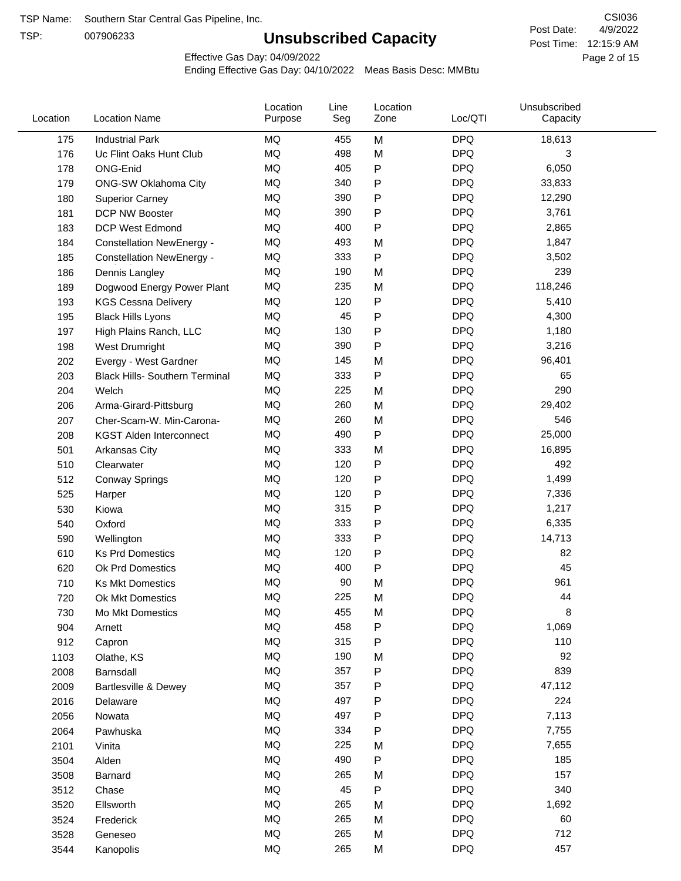TSP:

# **Unsubscribed Capacity**

4/9/2022 Page 2 of 15 Post Time: 12:15:9 AM CSI036 Post Date:

Effective Gas Day: 04/09/2022

| Location | <b>Location Name</b>                  | Location<br>Purpose | Line<br>Seg | Location<br>Zone | Loc/QTI    | Unsubscribed<br>Capacity |  |
|----------|---------------------------------------|---------------------|-------------|------------------|------------|--------------------------|--|
| 175      | <b>Industrial Park</b>                | MQ                  | 455         | M                | <b>DPQ</b> | 18,613                   |  |
| 176      | Uc Flint Oaks Hunt Club               | MQ                  | 498         | M                | <b>DPQ</b> | 3                        |  |
| 178      | ONG-Enid                              | MQ                  | 405         | P                | <b>DPQ</b> | 6,050                    |  |
| 179      | <b>ONG-SW Oklahoma City</b>           | <b>MQ</b>           | 340         | P                | <b>DPQ</b> | 33,833                   |  |
| 180      | <b>Superior Carney</b>                | <b>MQ</b>           | 390         | Ρ                | <b>DPQ</b> | 12,290                   |  |
| 181      | DCP NW Booster                        | <b>MQ</b>           | 390         | P                | <b>DPQ</b> | 3,761                    |  |
| 183      | <b>DCP West Edmond</b>                | MQ                  | 400         | P                | <b>DPQ</b> | 2,865                    |  |
| 184      | <b>Constellation NewEnergy -</b>      | MQ                  | 493         | M                | <b>DPQ</b> | 1,847                    |  |
| 185      | <b>Constellation NewEnergy -</b>      | MQ                  | 333         | P                | <b>DPQ</b> | 3,502                    |  |
| 186      | Dennis Langley                        | <b>MQ</b>           | 190         | M                | <b>DPQ</b> | 239                      |  |
| 189      | Dogwood Energy Power Plant            | MQ                  | 235         | M                | <b>DPQ</b> | 118,246                  |  |
| 193      | <b>KGS Cessna Delivery</b>            | MQ                  | 120         | P                | <b>DPQ</b> | 5,410                    |  |
| 195      | <b>Black Hills Lyons</b>              | <b>MQ</b>           | 45          | P                | <b>DPQ</b> | 4,300                    |  |
| 197      | High Plains Ranch, LLC                | <b>MQ</b>           | 130         | Ρ                | <b>DPQ</b> | 1,180                    |  |
| 198      | West Drumright                        | <b>MQ</b>           | 390         | P                | <b>DPQ</b> | 3,216                    |  |
| 202      | Evergy - West Gardner                 | <b>MQ</b>           | 145         | M                | <b>DPQ</b> | 96,401                   |  |
| 203      | <b>Black Hills- Southern Terminal</b> | MQ                  | 333         | P                | <b>DPQ</b> | 65                       |  |
| 204      | Welch                                 | MQ                  | 225         | M                | <b>DPQ</b> | 290                      |  |
| 206      | Arma-Girard-Pittsburg                 | MQ                  | 260         | M                | <b>DPQ</b> | 29,402                   |  |
| 207      | Cher-Scam-W. Min-Carona-              | MQ                  | 260         | M                | <b>DPQ</b> | 546                      |  |
| 208      | <b>KGST Alden Interconnect</b>        | <b>MQ</b>           | 490         | P                | <b>DPQ</b> | 25,000                   |  |
| 501      | <b>Arkansas City</b>                  | MQ                  | 333         | M                | <b>DPQ</b> | 16,895                   |  |
| 510      | Clearwater                            | <b>MQ</b>           | 120         | P                | <b>DPQ</b> | 492                      |  |
| 512      | <b>Conway Springs</b>                 | <b>MQ</b>           | 120         | P                | <b>DPQ</b> | 1,499                    |  |
| 525      | Harper                                | <b>MQ</b>           | 120         | P                | <b>DPQ</b> | 7,336                    |  |
| 530      | Kiowa                                 | MQ                  | 315         | P                | <b>DPQ</b> | 1,217                    |  |
| 540      | Oxford                                | <b>MQ</b>           | 333         | Ρ                | <b>DPQ</b> | 6,335                    |  |
| 590      | Wellington                            | <b>MQ</b>           | 333         | Ρ                | <b>DPQ</b> | 14,713                   |  |
| 610      | <b>Ks Prd Domestics</b>               | <b>MQ</b>           | 120         | P                | <b>DPQ</b> | 82                       |  |
| 620      | Ok Prd Domestics                      | MQ                  | 400         | P                | <b>DPQ</b> | 45                       |  |
| 710      | <b>Ks Mkt Domestics</b>               | <b>MQ</b>           | 90          | M                | <b>DPQ</b> | 961                      |  |
| 720      | Ok Mkt Domestics                      | MQ                  | 225         | M                | <b>DPQ</b> | 44                       |  |
| 730      | Mo Mkt Domestics                      | MQ                  | 455         | M                | <b>DPQ</b> | 8                        |  |
| 904      | Arnett                                | $\sf{MQ}$           | 458         | Ρ                | <b>DPQ</b> | 1,069                    |  |
| 912      | Capron                                | $\sf{MQ}$           | 315         | Ρ                | <b>DPQ</b> | 110                      |  |
| 1103     | Olathe, KS                            | $\sf{MQ}$           | 190         | M                | <b>DPQ</b> | 92                       |  |
| 2008     | Barnsdall                             | MQ                  | 357         | Ρ                | <b>DPQ</b> | 839                      |  |
| 2009     | Bartlesville & Dewey                  | MQ                  | 357         | Ρ                | <b>DPQ</b> | 47,112                   |  |
| 2016     | Delaware                              | MQ                  | 497         | P                | <b>DPQ</b> | 224                      |  |
| 2056     | Nowata                                | MQ                  | 497         | Ρ                | <b>DPQ</b> | 7,113                    |  |
| 2064     | Pawhuska                              | $\sf{MQ}$           | 334         | Ρ                | <b>DPQ</b> | 7,755                    |  |
| 2101     | Vinita                                | MQ                  | 225         | M                | <b>DPQ</b> | 7,655                    |  |
| 3504     | Alden                                 | $\sf{MQ}$           | 490         | Ρ                | <b>DPQ</b> | 185                      |  |
| 3508     | Barnard                               | $\sf{MQ}$           | 265         | M                | <b>DPQ</b> | 157                      |  |
| 3512     | Chase                                 | $\sf{MQ}$           | 45          | Ρ                | <b>DPQ</b> | 340                      |  |
| 3520     | Ellsworth                             | MQ                  | 265         | M                | <b>DPQ</b> | 1,692                    |  |
| 3524     | Frederick                             | MQ                  | 265         | M                | <b>DPQ</b> | 60                       |  |
| 3528     | Geneseo                               | $\sf{MQ}$           | 265         | M                | <b>DPQ</b> | 712                      |  |
| 3544     | Kanopolis                             | $\sf{MQ}$           | 265         | M                | <b>DPQ</b> | 457                      |  |
|          |                                       |                     |             |                  |            |                          |  |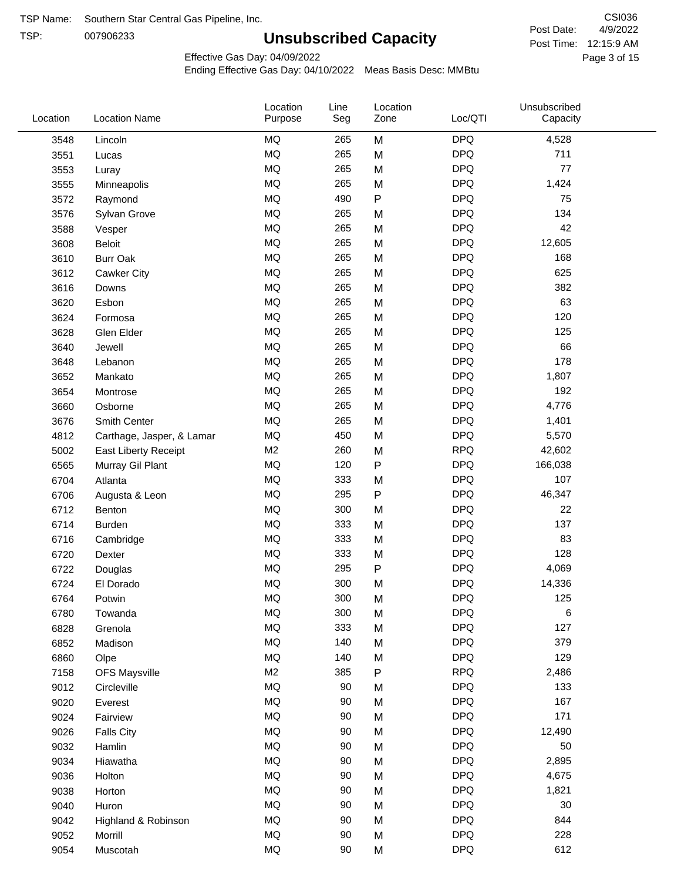TSP:

# **Unsubscribed Capacity**

4/9/2022 Page 3 of 15 Post Time: 12:15:9 AM CSI036 Post Date:

Effective Gas Day: 04/09/2022

| Location | <b>Location Name</b>      | Location<br>Purpose | Line<br>Seg | Location<br>Zone | Loc/QTI    | Unsubscribed<br>Capacity |  |
|----------|---------------------------|---------------------|-------------|------------------|------------|--------------------------|--|
| 3548     | Lincoln                   | MQ                  | 265         | M                | <b>DPQ</b> | 4,528                    |  |
| 3551     | Lucas                     | MQ                  | 265         | M                | <b>DPQ</b> | 711                      |  |
| 3553     | Luray                     | MQ                  | 265         | M                | <b>DPQ</b> | 77                       |  |
| 3555     | Minneapolis               | <b>MQ</b>           | 265         | M                | <b>DPQ</b> | 1,424                    |  |
| 3572     | Raymond                   | <b>MQ</b>           | 490         | P                | <b>DPQ</b> | 75                       |  |
| 3576     | Sylvan Grove              | MQ                  | 265         | M                | <b>DPQ</b> | 134                      |  |
| 3588     | Vesper                    | MQ                  | 265         | M                | <b>DPQ</b> | 42                       |  |
| 3608     | <b>Beloit</b>             | MQ                  | 265         | M                | <b>DPQ</b> | 12,605                   |  |
| 3610     | <b>Burr Oak</b>           | MQ                  | 265         | M                | <b>DPQ</b> | 168                      |  |
| 3612     | Cawker City               | MQ                  | 265         | M                | <b>DPQ</b> | 625                      |  |
| 3616     | Downs                     | MQ                  | 265         | M                | <b>DPQ</b> | 382                      |  |
| 3620     | Esbon                     | MQ                  | 265         | M                | <b>DPQ</b> | 63                       |  |
| 3624     | Formosa                   | <b>MQ</b>           | 265         | M                | <b>DPQ</b> | 120                      |  |
| 3628     | Glen Elder                | <b>MQ</b>           | 265         | M                | <b>DPQ</b> | 125                      |  |
| 3640     | Jewell                    | MQ                  | 265         | M                | <b>DPQ</b> | 66                       |  |
| 3648     | Lebanon                   | MQ                  | 265         | M                | <b>DPQ</b> | 178                      |  |
| 3652     | Mankato                   | MQ                  | 265         | M                | <b>DPQ</b> | 1,807                    |  |
| 3654     | Montrose                  | MQ                  | 265         | M                | <b>DPQ</b> | 192                      |  |
| 3660     | Osborne                   | MQ                  | 265         | M                | <b>DPQ</b> | 4,776                    |  |
| 3676     | Smith Center              | MQ                  | 265         | M                | <b>DPQ</b> | 1,401                    |  |
| 4812     | Carthage, Jasper, & Lamar | MQ                  | 450         | M                | <b>DPQ</b> | 5,570                    |  |
| 5002     | East Liberty Receipt      | M <sub>2</sub>      | 260         | M                | <b>RPQ</b> | 42,602                   |  |
| 6565     | Murray Gil Plant          | <b>MQ</b>           | 120         | $\mathsf{P}$     | <b>DPQ</b> | 166,038                  |  |
| 6704     | Atlanta                   | MQ                  | 333         | M                | <b>DPQ</b> | 107                      |  |
| 6706     | Augusta & Leon            | MQ                  | 295         | P                | <b>DPQ</b> | 46,347                   |  |
| 6712     | Benton                    | MQ                  | 300         | M                | <b>DPQ</b> | 22                       |  |
| 6714     | <b>Burden</b>             | MQ                  | 333         | M                | <b>DPQ</b> | 137                      |  |
| 6716     | Cambridge                 | MQ                  | 333         | M                | <b>DPQ</b> | 83                       |  |
| 6720     | Dexter                    | MQ                  | 333         | M                | <b>DPQ</b> | 128                      |  |
| 6722     | Douglas                   | <b>MQ</b>           | 295         | P                | <b>DPQ</b> | 4,069                    |  |
| 6724     | El Dorado                 | <b>MQ</b>           | 300         | M                | <b>DPQ</b> | 14,336                   |  |
| 6764     | Potwin                    | <b>MQ</b>           | 300         | M                | <b>DPQ</b> | 125                      |  |
| 6780     | Towanda                   | MQ                  | 300         | M                | <b>DPQ</b> | 6                        |  |
| 6828     | Grenola                   | $\sf{MQ}$           | 333         | M                | <b>DPQ</b> | 127                      |  |
| 6852     | Madison                   | MQ                  | 140         | M                | <b>DPQ</b> | 379                      |  |
| 6860     | Olpe                      | MQ                  | 140         | M                | <b>DPQ</b> | 129                      |  |
| 7158     | <b>OFS Maysville</b>      | M <sub>2</sub>      | 385         | P                | <b>RPQ</b> | 2,486                    |  |
| 9012     | Circleville               | MQ                  | 90          | M                | <b>DPQ</b> | 133                      |  |
| 9020     | Everest                   | $\sf{MQ}$           | 90          | M                | <b>DPQ</b> | 167                      |  |
| 9024     | Fairview                  | $\sf{MQ}$           | 90          | M                | <b>DPQ</b> | 171                      |  |
| 9026     | <b>Falls City</b>         | MQ                  | 90          | M                | <b>DPQ</b> | 12,490                   |  |
| 9032     | Hamlin                    | MQ                  | 90          | M                | <b>DPQ</b> | 50                       |  |
| 9034     | Hiawatha                  | MQ                  | $90\,$      | M                | <b>DPQ</b> | 2,895                    |  |
| 9036     | Holton                    | MQ                  | 90          | M                | <b>DPQ</b> | 4,675                    |  |
| 9038     | Horton                    | $\sf{MQ}$           | 90          | M                | <b>DPQ</b> | 1,821                    |  |
| 9040     | Huron                     | MQ                  | 90          | M                | <b>DPQ</b> | 30                       |  |
| 9042     | Highland & Robinson       | MQ                  | 90          | M                | <b>DPQ</b> | 844                      |  |
| 9052     | Morrill                   | $\sf{MQ}$           | 90          | M                | <b>DPQ</b> | 228                      |  |
| 9054     | Muscotah                  | $\sf{MQ}$           | 90          | M                | <b>DPQ</b> | 612                      |  |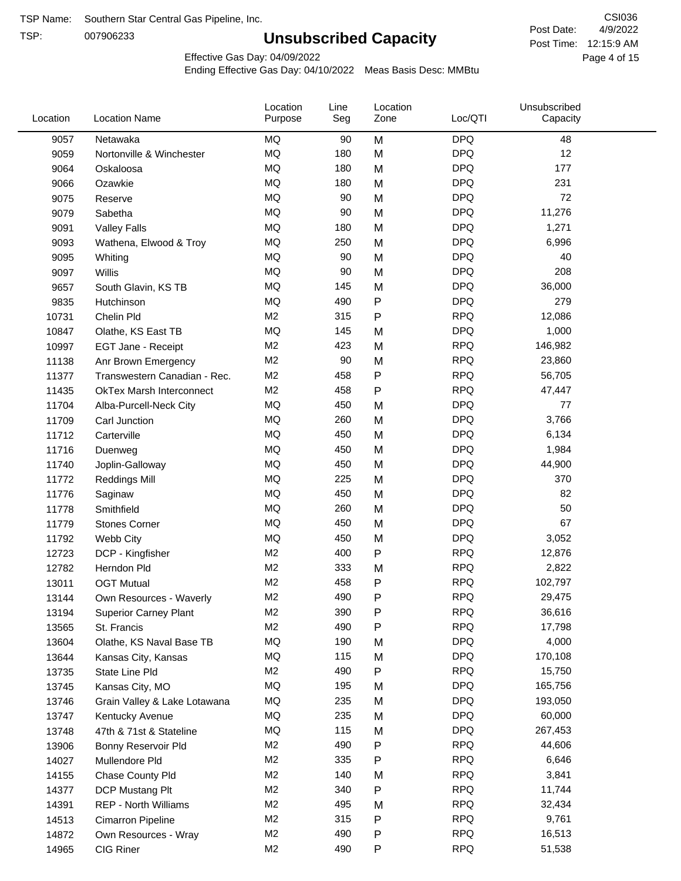TSP:

# **Unsubscribed Capacity**

4/9/2022 Page 4 of 15 Post Time: 12:15:9 AM CSI036 Post Date:

Effective Gas Day: 04/09/2022

| Location | <b>Location Name</b>            | Location<br>Purpose | Line<br>Seg | Location<br>Zone | Loc/QTI    | Unsubscribed<br>Capacity |  |
|----------|---------------------------------|---------------------|-------------|------------------|------------|--------------------------|--|
| 9057     | Netawaka                        | <b>MQ</b>           | 90          | M                | <b>DPQ</b> | 48                       |  |
| 9059     | Nortonville & Winchester        | MQ                  | 180         | M                | <b>DPQ</b> | 12                       |  |
| 9064     | Oskaloosa                       | MQ                  | 180         | M                | <b>DPQ</b> | 177                      |  |
| 9066     | Ozawkie                         | <b>MQ</b>           | 180         | M                | <b>DPQ</b> | 231                      |  |
| 9075     | Reserve                         | <b>MQ</b>           | 90          | M                | <b>DPQ</b> | 72                       |  |
| 9079     | Sabetha                         | <b>MQ</b>           | 90          | M                | <b>DPQ</b> | 11,276                   |  |
| 9091     | <b>Valley Falls</b>             | <b>MQ</b>           | 180         | M                | <b>DPQ</b> | 1,271                    |  |
| 9093     | Wathena, Elwood & Troy          | <b>MQ</b>           | 250         | M                | <b>DPQ</b> | 6,996                    |  |
| 9095     | Whiting                         | MQ                  | 90          | M                | <b>DPQ</b> | 40                       |  |
| 9097     | Willis                          | <b>MQ</b>           | 90          | M                | <b>DPQ</b> | 208                      |  |
| 9657     | South Glavin, KS TB             | MQ                  | 145         | M                | <b>DPQ</b> | 36,000                   |  |
| 9835     | Hutchinson                      | MQ                  | 490         | ${\sf P}$        | <b>DPQ</b> | 279                      |  |
| 10731    | Chelin Pld                      | M <sub>2</sub>      | 315         | P                | <b>RPQ</b> | 12,086                   |  |
| 10847    | Olathe, KS East TB              | <b>MQ</b>           | 145         | M                | <b>DPQ</b> | 1,000                    |  |
| 10997    | EGT Jane - Receipt              | M <sub>2</sub>      | 423         | M                | <b>RPQ</b> | 146,982                  |  |
| 11138    | Anr Brown Emergency             | M <sub>2</sub>      | 90          | M                | <b>RPQ</b> | 23,860                   |  |
| 11377    | Transwestern Canadian - Rec.    | M <sub>2</sub>      | 458         | P                | <b>RPQ</b> | 56,705                   |  |
| 11435    | <b>OkTex Marsh Interconnect</b> | M2                  | 458         | P                | <b>RPQ</b> | 47,447                   |  |
| 11704    | Alba-Purcell-Neck City          | <b>MQ</b>           | 450         | M                | <b>DPQ</b> | 77                       |  |
| 11709    | Carl Junction                   | <b>MQ</b>           | 260         | M                | <b>DPQ</b> | 3,766                    |  |
| 11712    | Carterville                     | MQ                  | 450         | M                | <b>DPQ</b> | 6,134                    |  |
| 11716    | Duenweg                         | MQ                  | 450         | M                | <b>DPQ</b> | 1,984                    |  |
| 11740    | Joplin-Galloway                 | <b>MQ</b>           | 450         | M                | <b>DPQ</b> | 44,900                   |  |
| 11772    | <b>Reddings Mill</b>            | <b>MQ</b>           | 225         | M                | <b>DPQ</b> | 370                      |  |
| 11776    | Saginaw                         | <b>MQ</b>           | 450         | M                | <b>DPQ</b> | 82                       |  |
| 11778    | Smithfield                      | MQ                  | 260         | M                | <b>DPQ</b> | 50                       |  |
| 11779    | <b>Stones Corner</b>            | <b>MQ</b>           | 450         | M                | <b>DPQ</b> | 67                       |  |
| 11792    | Webb City                       | <b>MQ</b>           | 450         | M                | <b>DPQ</b> | 3,052                    |  |
| 12723    | DCP - Kingfisher                | M <sub>2</sub>      | 400         | ${\sf P}$        | <b>RPQ</b> | 12,876                   |  |
| 12782    | Herndon Pld                     | M <sub>2</sub>      | 333         | M                | <b>RPQ</b> | 2,822                    |  |
| 13011    | <b>OGT Mutual</b>               | M <sub>2</sub>      | 458         | P                | <b>RPQ</b> | 102,797                  |  |
| 13144    | Own Resources - Waverly         | M <sub>2</sub>      | 490         | P                | <b>RPQ</b> | 29,475                   |  |
| 13194    | <b>Superior Carney Plant</b>    | M <sub>2</sub>      | 390         | P                | <b>RPQ</b> | 36,616                   |  |
| 13565    | St. Francis                     | M <sub>2</sub>      | 490         | P                | <b>RPQ</b> | 17,798                   |  |
| 13604    | Olathe, KS Naval Base TB        | MQ                  | 190         | M                | <b>DPQ</b> | 4,000                    |  |
| 13644    | Kansas City, Kansas             | MQ                  | 115         | M                | <b>DPQ</b> | 170,108                  |  |
| 13735    | State Line Pld                  | M <sub>2</sub>      | 490         | P                | <b>RPQ</b> | 15,750                   |  |
| 13745    | Kansas City, MO                 | MQ                  | 195         | M                | <b>DPQ</b> | 165,756                  |  |
| 13746    | Grain Valley & Lake Lotawana    | MQ                  | 235         | M                | <b>DPQ</b> | 193,050                  |  |
| 13747    | Kentucky Avenue                 | MQ                  | 235         | M                | <b>DPQ</b> | 60,000                   |  |
| 13748    | 47th & 71st & Stateline         | MQ                  | 115         | M                | <b>DPQ</b> | 267,453                  |  |
| 13906    | Bonny Reservoir Pld             | M <sub>2</sub>      | 490         | P                | <b>RPQ</b> | 44,606                   |  |
| 14027    | Mullendore Pld                  | M <sub>2</sub>      | 335         | P                | <b>RPQ</b> | 6,646                    |  |
| 14155    | Chase County Pld                | M <sub>2</sub>      | 140         | M                | <b>RPQ</b> | 3,841                    |  |
| 14377    | DCP Mustang Plt                 | M <sub>2</sub>      | 340         | P                | <b>RPQ</b> | 11,744                   |  |
| 14391    | <b>REP - North Williams</b>     | M <sub>2</sub>      | 495         | M                | <b>RPQ</b> | 32,434                   |  |
| 14513    | Cimarron Pipeline               | M <sub>2</sub>      | 315         | ${\sf P}$        | <b>RPQ</b> | 9,761                    |  |
| 14872    | Own Resources - Wray            | M <sub>2</sub>      | 490         | P                | <b>RPQ</b> | 16,513                   |  |
| 14965    | CIG Riner                       | M <sub>2</sub>      | 490         | P                | <b>RPQ</b> | 51,538                   |  |
|          |                                 |                     |             |                  |            |                          |  |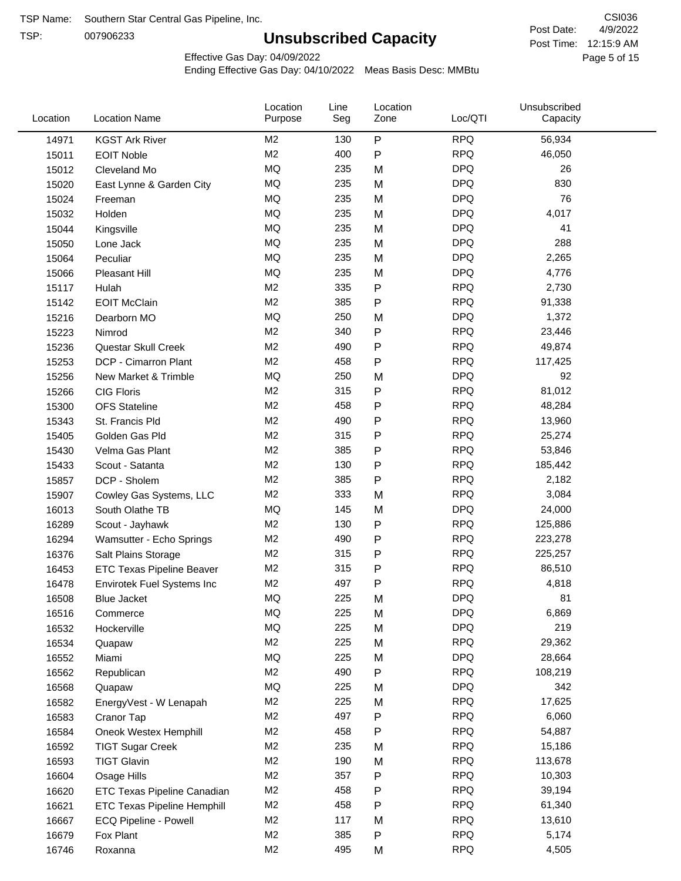TSP:

# **Unsubscribed Capacity**

4/9/2022 Page 5 of 15 Post Time: 12:15:9 AM CSI036 Post Date:

Effective Gas Day: 04/09/2022

| Location | <b>Location Name</b>               | Location<br>Purpose | Line<br>Seg | Location<br>Zone | Loc/QTI    | Unsubscribed<br>Capacity |  |
|----------|------------------------------------|---------------------|-------------|------------------|------------|--------------------------|--|
| 14971    | <b>KGST Ark River</b>              | M <sub>2</sub>      | 130         | P                | <b>RPQ</b> | 56,934                   |  |
| 15011    | <b>EOIT Noble</b>                  | M <sub>2</sub>      | 400         | P                | <b>RPQ</b> | 46,050                   |  |
| 15012    | Cleveland Mo                       | <b>MQ</b>           | 235         | M                | <b>DPQ</b> | 26                       |  |
| 15020    | East Lynne & Garden City           | <b>MQ</b>           | 235         | M                | <b>DPQ</b> | 830                      |  |
| 15024    | Freeman                            | <b>MQ</b>           | 235         | M                | <b>DPQ</b> | 76                       |  |
| 15032    | Holden                             | <b>MQ</b>           | 235         | M                | <b>DPQ</b> | 4,017                    |  |
| 15044    | Kingsville                         | <b>MQ</b>           | 235         | M                | <b>DPQ</b> | 41                       |  |
| 15050    | Lone Jack                          | <b>MQ</b>           | 235         | M                | <b>DPQ</b> | 288                      |  |
| 15064    | Peculiar                           | <b>MQ</b>           | 235         | M                | <b>DPQ</b> | 2,265                    |  |
| 15066    | Pleasant Hill                      | <b>MQ</b>           | 235         | M                | <b>DPQ</b> | 4,776                    |  |
| 15117    | Hulah                              | M <sub>2</sub>      | 335         | P                | <b>RPQ</b> | 2,730                    |  |
| 15142    | <b>EOIT McClain</b>                | M <sub>2</sub>      | 385         | P                | <b>RPQ</b> | 91,338                   |  |
| 15216    | Dearborn MO                        | MQ                  | 250         | M                | <b>DPQ</b> | 1,372                    |  |
| 15223    | Nimrod                             | M <sub>2</sub>      | 340         | P                | <b>RPQ</b> | 23,446                   |  |
| 15236    | Questar Skull Creek                | M <sub>2</sub>      | 490         | P                | <b>RPQ</b> | 49,874                   |  |
| 15253    | DCP - Cimarron Plant               | M <sub>2</sub>      | 458         | P                | <b>RPQ</b> | 117,425                  |  |
| 15256    | New Market & Trimble               | <b>MQ</b>           | 250         | M                | <b>DPQ</b> | 92                       |  |
| 15266    | <b>CIG Floris</b>                  | M <sub>2</sub>      | 315         | P                | <b>RPQ</b> | 81,012                   |  |
| 15300    | <b>OFS Stateline</b>               | M <sub>2</sub>      | 458         | P                | <b>RPQ</b> | 48,284                   |  |
| 15343    | St. Francis Pld                    | M <sub>2</sub>      | 490         | P                | <b>RPQ</b> | 13,960                   |  |
| 15405    | Golden Gas Pld                     | M <sub>2</sub>      | 315         | P                | <b>RPQ</b> | 25,274                   |  |
| 15430    | Velma Gas Plant                    | M <sub>2</sub>      | 385         | P                | <b>RPQ</b> | 53,846                   |  |
| 15433    | Scout - Satanta                    | M <sub>2</sub>      | 130         | P                | <b>RPQ</b> | 185,442                  |  |
| 15857    | DCP - Sholem                       | M <sub>2</sub>      | 385         | P                | <b>RPQ</b> | 2,182                    |  |
| 15907    | Cowley Gas Systems, LLC            | M <sub>2</sub>      | 333         | M                | <b>RPQ</b> | 3,084                    |  |
| 16013    | South Olathe TB                    | MQ                  | 145         | M                | <b>DPQ</b> | 24,000                   |  |
| 16289    | Scout - Jayhawk                    | M <sub>2</sub>      | 130         | P                | <b>RPQ</b> | 125,886                  |  |
| 16294    | Wamsutter - Echo Springs           | M <sub>2</sub>      | 490         | P                | <b>RPQ</b> | 223,278                  |  |
| 16376    | Salt Plains Storage                | M <sub>2</sub>      | 315         | P                | <b>RPQ</b> | 225,257                  |  |
| 16453    | <b>ETC Texas Pipeline Beaver</b>   | M <sub>2</sub>      | 315         | P                | <b>RPQ</b> | 86,510                   |  |
| 16478    | Envirotek Fuel Systems Inc         | M <sub>2</sub>      | 497         | P                | <b>RPQ</b> | 4,818                    |  |
| 16508    | Blue Jacket                        | <b>MQ</b>           | 225         | M                | <b>DPQ</b> | 81                       |  |
| 16516    | Commerce                           | MQ                  | 225         | M                | <b>DPQ</b> | 6,869                    |  |
| 16532    | Hockerville                        | <b>MQ</b>           | 225         | M                | <b>DPQ</b> | 219                      |  |
| 16534    | Quapaw                             | M <sub>2</sub>      | 225         | M                | <b>RPQ</b> | 29,362                   |  |
| 16552    | Miami                              | MQ                  | 225         | M                | <b>DPQ</b> | 28,664                   |  |
| 16562    | Republican                         | M <sub>2</sub>      | 490         | Ρ                | <b>RPQ</b> | 108,219                  |  |
| 16568    | Quapaw                             | MQ                  | 225         | M                | <b>DPQ</b> | 342                      |  |
| 16582    | EnergyVest - W Lenapah             | M <sub>2</sub>      | 225         | M                | <b>RPQ</b> | 17,625                   |  |
| 16583    | Cranor Tap                         | M <sub>2</sub>      | 497         | P                | <b>RPQ</b> | 6,060                    |  |
| 16584    | Oneok Westex Hemphill              | M2                  | 458         | Ρ                | <b>RPQ</b> | 54,887                   |  |
| 16592    | <b>TIGT Sugar Creek</b>            | M <sub>2</sub>      | 235         | M                | <b>RPQ</b> | 15,186                   |  |
| 16593    | <b>TIGT Glavin</b>                 | M <sub>2</sub>      | 190         | M                | <b>RPQ</b> | 113,678                  |  |
| 16604    | Osage Hills                        | M <sub>2</sub>      | 357         | Ρ                | <b>RPQ</b> | 10,303                   |  |
| 16620    | <b>ETC Texas Pipeline Canadian</b> | M <sub>2</sub>      | 458         | P                | <b>RPQ</b> | 39,194                   |  |
| 16621    | <b>ETC Texas Pipeline Hemphill</b> | M <sub>2</sub>      | 458         | Ρ                | <b>RPQ</b> | 61,340                   |  |
| 16667    | ECQ Pipeline - Powell              | M <sub>2</sub>      | 117         | M                | <b>RPQ</b> | 13,610                   |  |
| 16679    | Fox Plant                          | M <sub>2</sub>      | 385         | Ρ                | <b>RPQ</b> | 5,174                    |  |
| 16746    | Roxanna                            | M <sub>2</sub>      | 495         | M                | <b>RPQ</b> | 4,505                    |  |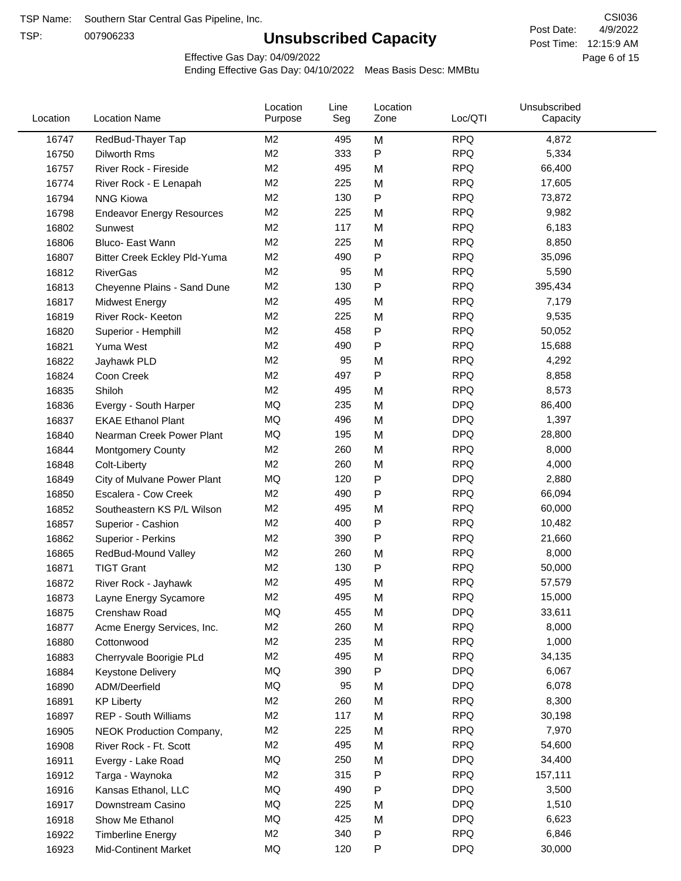TSP:

# **Unsubscribed Capacity**

4/9/2022 Page 6 of 15 Post Time: 12:15:9 AM CSI036 Post Date:

Effective Gas Day: 04/09/2022

| Location | <b>Location Name</b>             | Location<br>Purpose | Line<br>Seg | Location<br>Zone | Loc/QTI    | Unsubscribed<br>Capacity |  |
|----------|----------------------------------|---------------------|-------------|------------------|------------|--------------------------|--|
| 16747    | RedBud-Thayer Tap                | M <sub>2</sub>      | 495         | M                | <b>RPQ</b> | 4,872                    |  |
| 16750    | Dilworth Rms                     | M <sub>2</sub>      | 333         | ${\sf P}$        | <b>RPQ</b> | 5,334                    |  |
| 16757    | River Rock - Fireside            | M <sub>2</sub>      | 495         | M                | <b>RPQ</b> | 66,400                   |  |
| 16774    | River Rock - E Lenapah           | M <sub>2</sub>      | 225         | M                | <b>RPQ</b> | 17,605                   |  |
| 16794    | <b>NNG Kiowa</b>                 | M <sub>2</sub>      | 130         | P                | <b>RPQ</b> | 73,872                   |  |
| 16798    | <b>Endeavor Energy Resources</b> | M <sub>2</sub>      | 225         | M                | <b>RPQ</b> | 9,982                    |  |
| 16802    | Sunwest                          | M <sub>2</sub>      | 117         | M                | <b>RPQ</b> | 6,183                    |  |
| 16806    | Bluco- East Wann                 | M <sub>2</sub>      | 225         | M                | <b>RPQ</b> | 8,850                    |  |
| 16807    | Bitter Creek Eckley Pld-Yuma     | M <sub>2</sub>      | 490         | P                | <b>RPQ</b> | 35,096                   |  |
| 16812    | <b>RiverGas</b>                  | M <sub>2</sub>      | 95          | M                | <b>RPQ</b> | 5,590                    |  |
| 16813    | Cheyenne Plains - Sand Dune      | M <sub>2</sub>      | 130         | P                | <b>RPQ</b> | 395,434                  |  |
| 16817    | <b>Midwest Energy</b>            | M <sub>2</sub>      | 495         | M                | <b>RPQ</b> | 7,179                    |  |
| 16819    | River Rock- Keeton               | M <sub>2</sub>      | 225         | M                | <b>RPQ</b> | 9,535                    |  |
| 16820    | Superior - Hemphill              | M <sub>2</sub>      | 458         | P                | <b>RPQ</b> | 50,052                   |  |
| 16821    | Yuma West                        | M <sub>2</sub>      | 490         | P                | <b>RPQ</b> | 15,688                   |  |
| 16822    | Jayhawk PLD                      | M <sub>2</sub>      | 95          | M                | <b>RPQ</b> | 4,292                    |  |
| 16824    | Coon Creek                       | M <sub>2</sub>      | 497         | P                | <b>RPQ</b> | 8,858                    |  |
| 16835    | Shiloh                           | M <sub>2</sub>      | 495         | M                | <b>RPQ</b> | 8,573                    |  |
| 16836    | Evergy - South Harper            | <b>MQ</b>           | 235         | M                | <b>DPQ</b> | 86,400                   |  |
| 16837    | <b>EKAE Ethanol Plant</b>        | MQ                  | 496         | M                | <b>DPQ</b> | 1,397                    |  |
| 16840    | Nearman Creek Power Plant        | MQ                  | 195         | M                | <b>DPQ</b> | 28,800                   |  |
| 16844    | <b>Montgomery County</b>         | M <sub>2</sub>      | 260         | M                | <b>RPQ</b> | 8,000                    |  |
| 16848    | Colt-Liberty                     | M <sub>2</sub>      | 260         | M                | <b>RPQ</b> | 4,000                    |  |
| 16849    | City of Mulvane Power Plant      | <b>MQ</b>           | 120         | P                | <b>DPQ</b> | 2,880                    |  |
| 16850    | Escalera - Cow Creek             | M <sub>2</sub>      | 490         | $\mathsf{P}$     | <b>RPQ</b> | 66,094                   |  |
| 16852    | Southeastern KS P/L Wilson       | M <sub>2</sub>      | 495         | M                | <b>RPQ</b> | 60,000                   |  |
| 16857    | Superior - Cashion               | M <sub>2</sub>      | 400         | P                | <b>RPQ</b> | 10,482                   |  |
| 16862    | Superior - Perkins               | M <sub>2</sub>      | 390         | $\mathsf{P}$     | <b>RPQ</b> | 21,660                   |  |
| 16865    | RedBud-Mound Valley              | M <sub>2</sub>      | 260         | M                | <b>RPQ</b> | 8,000                    |  |
| 16871    | <b>TIGT Grant</b>                | M <sub>2</sub>      | 130         | P                | <b>RPQ</b> | 50,000                   |  |
| 16872    | River Rock - Jayhawk             | M <sub>2</sub>      | 495         | M                | <b>RPQ</b> | 57,579                   |  |
| 16873    | Layne Energy Sycamore            | M <sub>2</sub>      | 495         | M                | <b>RPQ</b> | 15,000                   |  |
| 16875    | Crenshaw Road                    | MQ                  | 455         | M                | <b>DPQ</b> | 33,611                   |  |
| 16877    | Acme Energy Services, Inc.       | M <sub>2</sub>      | 260         | M                | <b>RPQ</b> | 8,000                    |  |
| 16880    | Cottonwood                       | M <sub>2</sub>      | 235         | M                | <b>RPQ</b> | 1,000                    |  |
| 16883    | Cherryvale Boorigie PLd          | M <sub>2</sub>      | 495         | M                | <b>RPQ</b> | 34,135                   |  |
| 16884    | Keystone Delivery                | MQ                  | 390         | P                | <b>DPQ</b> | 6,067                    |  |
| 16890    | ADM/Deerfield                    | MQ                  | 95          | M                | <b>DPQ</b> | 6,078                    |  |
| 16891    | <b>KP Liberty</b>                | M <sub>2</sub>      | 260         | M                | <b>RPQ</b> | 8,300                    |  |
| 16897    | REP - South Williams             | M <sub>2</sub>      | 117         | M                | <b>RPQ</b> | 30,198                   |  |
| 16905    | <b>NEOK Production Company,</b>  | M <sub>2</sub>      | 225         | M                | <b>RPQ</b> | 7,970                    |  |
| 16908    | River Rock - Ft. Scott           | M <sub>2</sub>      | 495         | M                | <b>RPQ</b> | 54,600                   |  |
| 16911    | Evergy - Lake Road               | MQ                  | 250         | M                | <b>DPQ</b> | 34,400                   |  |
| 16912    | Targa - Waynoka                  | M <sub>2</sub>      | 315         | P                | <b>RPQ</b> | 157,111                  |  |
| 16916    | Kansas Ethanol, LLC              | MQ                  | 490         | P                | <b>DPQ</b> | 3,500                    |  |
| 16917    | Downstream Casino                | MQ                  | 225         | M                | <b>DPQ</b> | 1,510                    |  |
| 16918    | Show Me Ethanol                  | MQ                  | 425         | M                | <b>DPQ</b> | 6,623                    |  |
| 16922    | <b>Timberline Energy</b>         | M <sub>2</sub>      | 340         | P                | <b>RPQ</b> | 6,846                    |  |
| 16923    | <b>Mid-Continent Market</b>      | MQ                  | 120         | P                | <b>DPQ</b> | 30,000                   |  |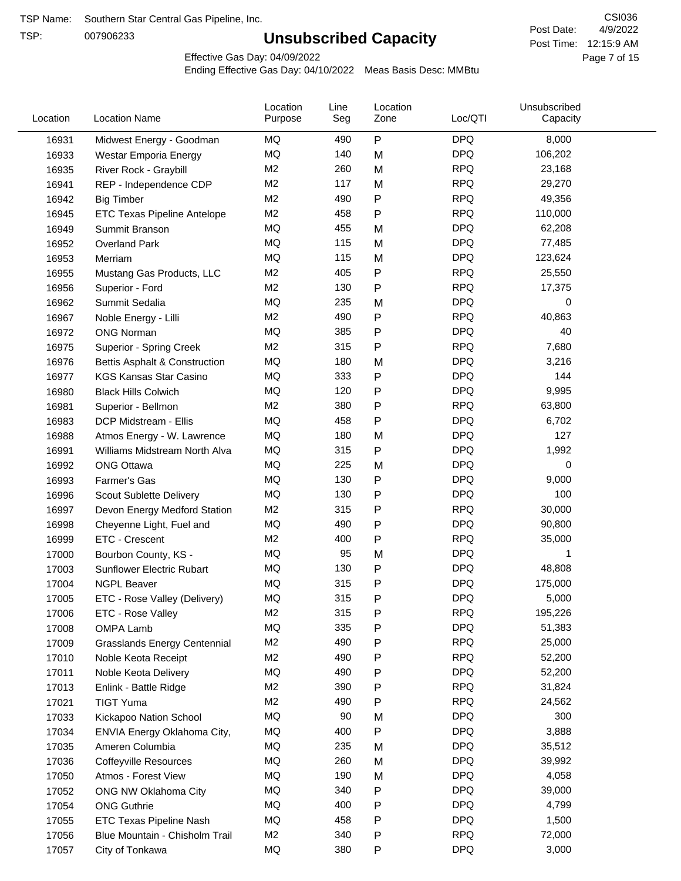TSP:

# **Unsubscribed Capacity**

4/9/2022 Page 7 of 15 Post Time: 12:15:9 AM CSI036 Post Date:

Effective Gas Day: 04/09/2022

| Location | <b>Location Name</b>                | Location<br>Purpose | Line<br>Seg | Location<br>Zone | Loc/QTI    | Unsubscribed<br>Capacity |  |
|----------|-------------------------------------|---------------------|-------------|------------------|------------|--------------------------|--|
| 16931    | Midwest Energy - Goodman            | MQ                  | 490         | $\mathsf{P}$     | <b>DPQ</b> | 8,000                    |  |
| 16933    | Westar Emporia Energy               | MQ                  | 140         | M                | <b>DPQ</b> | 106,202                  |  |
| 16935    | River Rock - Graybill               | M <sub>2</sub>      | 260         | M                | <b>RPQ</b> | 23,168                   |  |
| 16941    | REP - Independence CDP              | M <sub>2</sub>      | 117         | M                | <b>RPQ</b> | 29,270                   |  |
| 16942    | <b>Big Timber</b>                   | M <sub>2</sub>      | 490         | $\mathsf{P}$     | <b>RPQ</b> | 49,356                   |  |
| 16945    | ETC Texas Pipeline Antelope         | M <sub>2</sub>      | 458         | $\mathsf{P}$     | <b>RPQ</b> | 110,000                  |  |
| 16949    | Summit Branson                      | MQ                  | 455         | M                | <b>DPQ</b> | 62,208                   |  |
| 16952    | <b>Overland Park</b>                | MQ                  | 115         | M                | <b>DPQ</b> | 77,485                   |  |
| 16953    | Merriam                             | MQ                  | 115         | M                | <b>DPQ</b> | 123,624                  |  |
| 16955    | Mustang Gas Products, LLC           | M <sub>2</sub>      | 405         | $\mathsf{P}$     | <b>RPQ</b> | 25,550                   |  |
| 16956    | Superior - Ford                     | M <sub>2</sub>      | 130         | $\mathsf{P}$     | <b>RPQ</b> | 17,375                   |  |
| 16962    | Summit Sedalia                      | MQ                  | 235         | M                | <b>DPQ</b> | 0                        |  |
| 16967    | Noble Energy - Lilli                | M <sub>2</sub>      | 490         | $\mathsf{P}$     | <b>RPQ</b> | 40,863                   |  |
| 16972    | <b>ONG Norman</b>                   | MQ                  | 385         | $\mathsf{P}$     | <b>DPQ</b> | 40                       |  |
| 16975    | Superior - Spring Creek             | M <sub>2</sub>      | 315         | $\mathsf{P}$     | <b>RPQ</b> | 7,680                    |  |
| 16976    | Bettis Asphalt & Construction       | MQ                  | 180         | M                | <b>DPQ</b> | 3,216                    |  |
| 16977    | <b>KGS Kansas Star Casino</b>       | MQ                  | 333         | $\mathsf{P}$     | <b>DPQ</b> | 144                      |  |
| 16980    | <b>Black Hills Colwich</b>          | MQ                  | 120         | $\mathsf{P}$     | <b>DPQ</b> | 9,995                    |  |
| 16981    | Superior - Bellmon                  | M <sub>2</sub>      | 380         | $\mathsf{P}$     | <b>RPQ</b> | 63,800                   |  |
| 16983    | DCP Midstream - Ellis               | MQ                  | 458         | $\mathsf{P}$     | <b>DPQ</b> | 6,702                    |  |
| 16988    | Atmos Energy - W. Lawrence          | MQ                  | 180         | M                | <b>DPQ</b> | 127                      |  |
| 16991    | Williams Midstream North Alva       | MQ                  | 315         | $\mathsf{P}$     | <b>DPQ</b> | 1,992                    |  |
| 16992    | <b>ONG Ottawa</b>                   | MQ                  | 225         | M                | <b>DPQ</b> | 0                        |  |
| 16993    | Farmer's Gas                        | MQ                  | 130         | $\mathsf{P}$     | <b>DPQ</b> | 9,000                    |  |
| 16996    | Scout Sublette Delivery             | MQ                  | 130         | $\mathsf{P}$     | <b>DPQ</b> | 100                      |  |
| 16997    | Devon Energy Medford Station        | M <sub>2</sub>      | 315         | Ρ                | <b>RPQ</b> | 30,000                   |  |
| 16998    | Cheyenne Light, Fuel and            | MQ                  | 490         | $\mathsf{P}$     | <b>DPQ</b> | 90,800                   |  |
| 16999    | ETC - Crescent                      | M <sub>2</sub>      | 400         | $\mathsf{P}$     | <b>RPQ</b> | 35,000                   |  |
| 17000    | Bourbon County, KS -                | MQ                  | 95          | M                | <b>DPQ</b> | 1                        |  |
| 17003    | <b>Sunflower Electric Rubart</b>    | MQ                  | 130         | Ρ                | <b>DPQ</b> | 48,808                   |  |
| 17004    | <b>NGPL Beaver</b>                  | MQ                  | 315         | Ρ                | <b>DPQ</b> | 175,000                  |  |
| 17005    | ETC - Rose Valley (Delivery)        | MQ                  | 315         | P                | <b>DPQ</b> | 5,000                    |  |
| 17006    | ETC - Rose Valley                   | M <sub>2</sub>      | 315         | $\mathsf{P}$     | <b>RPQ</b> | 195,226                  |  |
| 17008    | OMPA Lamb                           | MQ                  | 335         | $\mathsf{P}$     | <b>DPQ</b> | 51,383                   |  |
| 17009    | <b>Grasslands Energy Centennial</b> | M <sub>2</sub>      | 490         | $\mathsf{P}$     | <b>RPQ</b> | 25,000                   |  |
| 17010    | Noble Keota Receipt                 | M <sub>2</sub>      | 490         | $\mathsf{P}$     | <b>RPQ</b> | 52,200                   |  |
| 17011    | Noble Keota Delivery                | MQ                  | 490         | P                | <b>DPQ</b> | 52,200                   |  |
| 17013    | Enlink - Battle Ridge               | M <sub>2</sub>      | 390         | $\mathsf{P}$     | <b>RPQ</b> | 31,824                   |  |
| 17021    | <b>TIGT Yuma</b>                    | M <sub>2</sub>      | 490         | P                | <b>RPQ</b> | 24,562                   |  |
| 17033    | Kickapoo Nation School              | MQ                  | 90          | M                | <b>DPQ</b> | 300                      |  |
| 17034    | ENVIA Energy Oklahoma City,         | MQ                  | 400         | ${\sf P}$        | <b>DPQ</b> | 3,888                    |  |
| 17035    | Ameren Columbia                     | MQ                  | 235         | M                | <b>DPQ</b> | 35,512                   |  |
| 17036    | <b>Coffeyville Resources</b>        | MQ                  | 260         | M                | <b>DPQ</b> | 39,992                   |  |
| 17050    | Atmos - Forest View                 | MQ                  | 190         | M                | <b>DPQ</b> | 4,058                    |  |
| 17052    | ONG NW Oklahoma City                | MQ                  | 340         | ${\sf P}$        | <b>DPQ</b> | 39,000                   |  |
| 17054    | <b>ONG Guthrie</b>                  | MQ                  | 400         | Ρ                | <b>DPQ</b> | 4,799                    |  |
| 17055    | ETC Texas Pipeline Nash             | MQ                  | 458         | $\mathsf{P}$     | <b>DPQ</b> | 1,500                    |  |
| 17056    | Blue Mountain - Chisholm Trail      | M <sub>2</sub>      | 340         | P                | <b>RPQ</b> | 72,000                   |  |
| 17057    | City of Tonkawa                     | MQ                  | 380         | P                | <b>DPQ</b> | 3,000                    |  |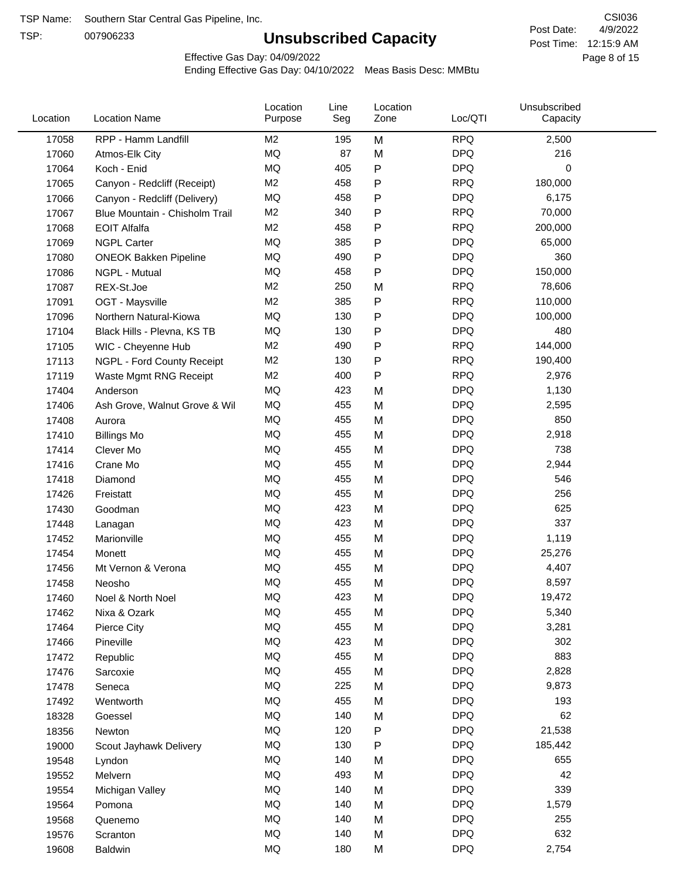TSP:

# **Unsubscribed Capacity**

4/9/2022 Page 8 of 15 Post Time: 12:15:9 AM CSI036 Post Date:

Effective Gas Day: 04/09/2022

| Location | <b>Location Name</b>           | Location<br>Purpose | Line<br>Seg | Location<br>Zone | Loc/QTI    | Unsubscribed<br>Capacity |  |
|----------|--------------------------------|---------------------|-------------|------------------|------------|--------------------------|--|
| 17058    | RPP - Hamm Landfill            | M2                  | 195         | M                | <b>RPQ</b> | 2,500                    |  |
| 17060    | Atmos-Elk City                 | MQ                  | 87          | M                | <b>DPQ</b> | 216                      |  |
| 17064    | Koch - Enid                    | MQ                  | 405         | ${\sf P}$        | <b>DPQ</b> | 0                        |  |
| 17065    | Canyon - Redcliff (Receipt)    | M <sub>2</sub>      | 458         | P                | <b>RPQ</b> | 180,000                  |  |
| 17066    | Canyon - Redcliff (Delivery)   | MQ                  | 458         | P                | <b>DPQ</b> | 6,175                    |  |
| 17067    | Blue Mountain - Chisholm Trail | M2                  | 340         | ${\sf P}$        | <b>RPQ</b> | 70,000                   |  |
| 17068    | <b>EOIT Alfalfa</b>            | M <sub>2</sub>      | 458         | P                | <b>RPQ</b> | 200,000                  |  |
| 17069    | <b>NGPL Carter</b>             | MQ                  | 385         | P                | <b>DPQ</b> | 65,000                   |  |
| 17080    | <b>ONEOK Bakken Pipeline</b>   | MQ                  | 490         | P                | <b>DPQ</b> | 360                      |  |
| 17086    | NGPL - Mutual                  | <b>MQ</b>           | 458         | ${\sf P}$        | <b>DPQ</b> | 150,000                  |  |
| 17087    | REX-St.Joe                     | M2                  | 250         | M                | <b>RPQ</b> | 78,606                   |  |
| 17091    | OGT - Maysville                | M <sub>2</sub>      | 385         | P                | <b>RPQ</b> | 110,000                  |  |
| 17096    | Northern Natural-Kiowa         | <b>MQ</b>           | 130         | ${\sf P}$        | <b>DPQ</b> | 100,000                  |  |
| 17104    | Black Hills - Plevna, KS TB    | <b>MQ</b>           | 130         | P                | <b>DPQ</b> | 480                      |  |
| 17105    | WIC - Cheyenne Hub             | M <sub>2</sub>      | 490         | ${\sf P}$        | <b>RPQ</b> | 144,000                  |  |
| 17113    | NGPL - Ford County Receipt     | M <sub>2</sub>      | 130         | P                | <b>RPQ</b> | 190,400                  |  |
| 17119    | Waste Mgmt RNG Receipt         | M <sub>2</sub>      | 400         | P                | <b>RPQ</b> | 2,976                    |  |
| 17404    | Anderson                       | MQ                  | 423         | M                | <b>DPQ</b> | 1,130                    |  |
| 17406    | Ash Grove, Walnut Grove & Wil  | <b>MQ</b>           | 455         | M                | <b>DPQ</b> | 2,595                    |  |
| 17408    | Aurora                         | MQ                  | 455         | M                | <b>DPQ</b> | 850                      |  |
| 17410    | <b>Billings Mo</b>             | MQ                  | 455         | M                | <b>DPQ</b> | 2,918                    |  |
| 17414    | Clever Mo                      | <b>MQ</b>           | 455         | M                | <b>DPQ</b> | 738                      |  |
| 17416    | Crane Mo                       | <b>MQ</b>           | 455         | M                | <b>DPQ</b> | 2,944                    |  |
| 17418    | Diamond                        | <b>MQ</b>           | 455         | M                | <b>DPQ</b> | 546                      |  |
| 17426    | Freistatt                      | <b>MQ</b>           | 455         | M                | <b>DPQ</b> | 256                      |  |
| 17430    | Goodman                        | MQ                  | 423         | M                | <b>DPQ</b> | 625                      |  |
| 17448    | Lanagan                        | <b>MQ</b>           | 423         | M                | <b>DPQ</b> | 337                      |  |
| 17452    | Marionville                    | <b>MQ</b>           | 455         | M                | <b>DPQ</b> | 1,119                    |  |
| 17454    | Monett                         | <b>MQ</b>           | 455         | M                | <b>DPQ</b> | 25,276                   |  |
| 17456    | Mt Vernon & Verona             | MQ                  | 455         | M                | <b>DPQ</b> | 4,407                    |  |
| 17458    | Neosho                         | <b>MQ</b>           | 455         | M                | <b>DPQ</b> | 8,597                    |  |
| 17460    | Noel & North Noel              | MQ                  | 423         | M                | <b>DPQ</b> | 19,472                   |  |
| 17462    | Nixa & Ozark                   | MQ                  | 455         | M                | <b>DPQ</b> | 5,340                    |  |
| 17464    | Pierce City                    | $\sf{MQ}$           | 455         | M                | <b>DPQ</b> | 3,281                    |  |
| 17466    | Pineville                      | MQ                  | 423         | M                | <b>DPQ</b> | 302                      |  |
| 17472    | Republic                       | MQ                  | 455         | M                | <b>DPQ</b> | 883                      |  |
| 17476    | Sarcoxie                       | MQ                  | 455         | M                | <b>DPQ</b> | 2,828                    |  |
| 17478    | Seneca                         | MQ                  | 225         | M                | <b>DPQ</b> | 9,873                    |  |
| 17492    | Wentworth                      | $\sf{MQ}$           | 455         | M                | <b>DPQ</b> | 193                      |  |
| 18328    | Goessel                        | MQ                  | 140         | M                | <b>DPQ</b> | 62                       |  |
| 18356    | Newton                         | MQ                  | 120         | ${\sf P}$        | <b>DPQ</b> | 21,538                   |  |
| 19000    | Scout Jayhawk Delivery         | MQ                  | 130         | P                | <b>DPQ</b> | 185,442                  |  |
| 19548    | Lyndon                         | MQ                  | 140         | M                | <b>DPQ</b> | 655                      |  |
| 19552    | Melvern                        | MQ                  | 493         | M                | <b>DPQ</b> | 42                       |  |
| 19554    | Michigan Valley                | MQ                  | 140         | M                | <b>DPQ</b> | 339                      |  |
| 19564    | Pomona                         | MQ                  | 140         | M                | <b>DPQ</b> | 1,579                    |  |
| 19568    | Quenemo                        | MQ                  | 140         | M                | <b>DPQ</b> | 255                      |  |
| 19576    | Scranton                       | MQ                  | 140         | M                | <b>DPQ</b> | 632                      |  |
| 19608    | Baldwin                        | $\sf{MQ}$           | 180         | M                | <b>DPQ</b> | 2,754                    |  |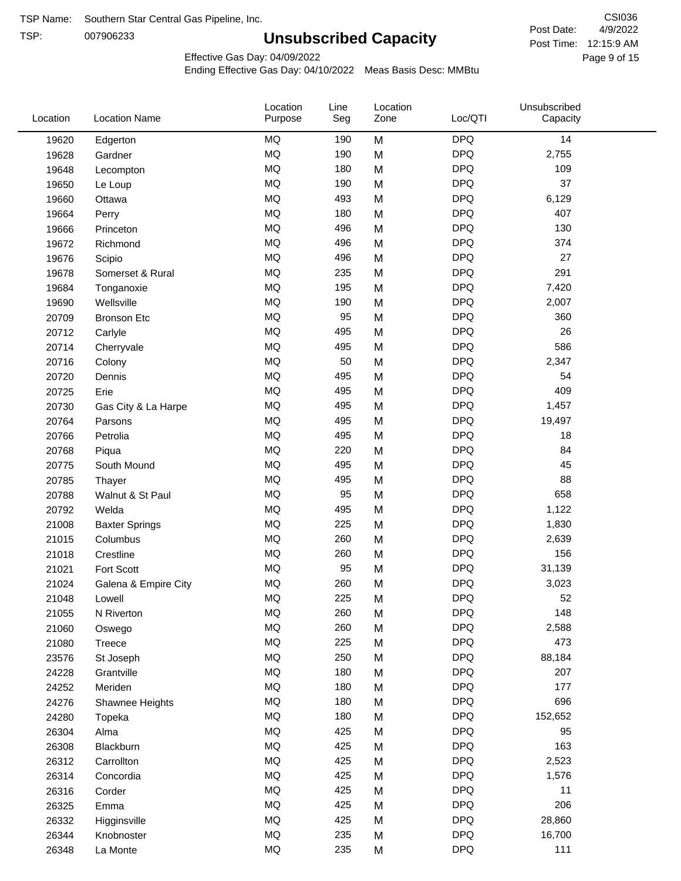TSP:

# **Unsubscribed Capacity**

4/9/2022 Page 9 of 15 Post Time: 12:15:9 AM CSI036 Post Date:

Effective Gas Day: 04/09/2022

| Location | <b>Location Name</b>  | Location<br>Purpose | Line<br>Seg | Location<br>Zone | Loc/QTI    | Unsubscribed<br>Capacity |  |
|----------|-----------------------|---------------------|-------------|------------------|------------|--------------------------|--|
| 19620    | Edgerton              | <b>MQ</b>           | 190         | M                | <b>DPQ</b> | 14                       |  |
| 19628    | Gardner               | <b>MQ</b>           | 190         | M                | <b>DPQ</b> | 2,755                    |  |
| 19648    | Lecompton             | <b>MQ</b>           | 180         | M                | <b>DPQ</b> | 109                      |  |
| 19650    | Le Loup               | <b>MQ</b>           | 190         | M                | <b>DPQ</b> | 37                       |  |
| 19660    | Ottawa                | <b>MQ</b>           | 493         | M                | <b>DPQ</b> | 6,129                    |  |
| 19664    | Perry                 | <b>MQ</b>           | 180         | M                | <b>DPQ</b> | 407                      |  |
| 19666    | Princeton             | <b>MQ</b>           | 496         | M                | <b>DPQ</b> | 130                      |  |
| 19672    | Richmond              | MQ                  | 496         | M                | <b>DPQ</b> | 374                      |  |
| 19676    | Scipio                | MQ                  | 496         | M                | <b>DPQ</b> | 27                       |  |
| 19678    | Somerset & Rural      | <b>MQ</b>           | 235         | M                | <b>DPQ</b> | 291                      |  |
| 19684    | Tonganoxie            | <b>MQ</b>           | 195         | M                | <b>DPQ</b> | 7,420                    |  |
| 19690    | Wellsville            | <b>MQ</b>           | 190         | M                | <b>DPQ</b> | 2,007                    |  |
| 20709    | <b>Bronson Etc</b>    | MQ                  | 95          | M                | <b>DPQ</b> | 360                      |  |
| 20712    | Carlyle               | <b>MQ</b>           | 495         | M                | <b>DPQ</b> | 26                       |  |
| 20714    | Cherryvale            | <b>MQ</b>           | 495         | M                | <b>DPQ</b> | 586                      |  |
| 20716    | Colony                | <b>MQ</b>           | 50          | M                | <b>DPQ</b> | 2,347                    |  |
| 20720    | Dennis                | <b>MQ</b>           | 495         | M                | <b>DPQ</b> | 54                       |  |
| 20725    | Erie                  | <b>MQ</b>           | 495         | M                | <b>DPQ</b> | 409                      |  |
| 20730    | Gas City & La Harpe   | <b>MQ</b>           | 495         | M                | <b>DPQ</b> | 1,457                    |  |
| 20764    | Parsons               | <b>MQ</b>           | 495         | M                | <b>DPQ</b> | 19,497                   |  |
| 20766    | Petrolia              | <b>MQ</b>           | 495         | M                | <b>DPQ</b> | 18                       |  |
| 20768    | Piqua                 | <b>MQ</b>           | 220         | M                | <b>DPQ</b> | 84                       |  |
| 20775    | South Mound           | <b>MQ</b>           | 495         | M                | <b>DPQ</b> | 45                       |  |
| 20785    | Thayer                | <b>MQ</b>           | 495         | M                | <b>DPQ</b> | 88                       |  |
| 20788    | Walnut & St Paul      | <b>MQ</b>           | 95          | M                | <b>DPQ</b> | 658                      |  |
| 20792    | Welda                 | <b>MQ</b>           | 495         | M                | <b>DPQ</b> | 1,122                    |  |
| 21008    | <b>Baxter Springs</b> | <b>MQ</b>           | 225         | M                | <b>DPQ</b> | 1,830                    |  |
| 21015    | Columbus              | <b>MQ</b>           | 260         | M                | <b>DPQ</b> | 2,639                    |  |
| 21018    | Crestline             | MQ                  | 260         | M                | <b>DPQ</b> | 156                      |  |
| 21021    | Fort Scott            | MQ                  | 95          | M                | <b>DPQ</b> | 31,139                   |  |
| 21024    | Galena & Empire City  | <b>MQ</b>           | 260         | M                | <b>DPQ</b> | 3,023                    |  |
| 21048    | Lowell                | <b>MQ</b>           | 225         | M                | <b>DPQ</b> | 52                       |  |
| 21055    | N Riverton            | MQ                  | 260         | M                | <b>DPQ</b> | 148                      |  |
| 21060    | Oswego                | $\sf{MQ}$           | 260         | M                | <b>DPQ</b> | 2,588                    |  |
| 21080    | Treece                | MQ                  | 225         | M                | <b>DPQ</b> | 473                      |  |
| 23576    | St Joseph             | MQ                  | 250         | M                | <b>DPQ</b> | 88,184                   |  |
| 24228    | Grantville            | MQ                  | 180         | M                | <b>DPQ</b> | 207                      |  |
| 24252    | Meriden               | MQ                  | 180         | M                | <b>DPQ</b> | 177                      |  |
| 24276    | Shawnee Heights       | MQ                  | 180         | M                | <b>DPQ</b> | 696                      |  |
| 24280    | Topeka                | $\sf{MQ}$           | 180         | M                | <b>DPQ</b> | 152,652                  |  |
| 26304    | Alma                  | MQ                  | 425         | M                | <b>DPQ</b> | 95                       |  |
| 26308    | Blackburn             | MQ                  | 425         | M                | <b>DPQ</b> | 163                      |  |
| 26312    | Carrollton            | MQ                  | 425         | M                | <b>DPQ</b> | 2,523                    |  |
| 26314    | Concordia             | MQ                  | 425         | M                | <b>DPQ</b> | 1,576                    |  |
| 26316    | Corder                | MQ                  | 425         | M                | <b>DPQ</b> | 11                       |  |
| 26325    | Emma                  | MQ                  | 425         | M                | <b>DPQ</b> | 206                      |  |
| 26332    | Higginsville          | MQ                  | 425         | M                | <b>DPQ</b> | 28,860                   |  |
| 26344    | Knobnoster            | $\sf{MQ}$           | 235         | M                | <b>DPQ</b> | 16,700                   |  |
| 26348    | La Monte              | MQ                  | 235         | M                | <b>DPQ</b> | 111                      |  |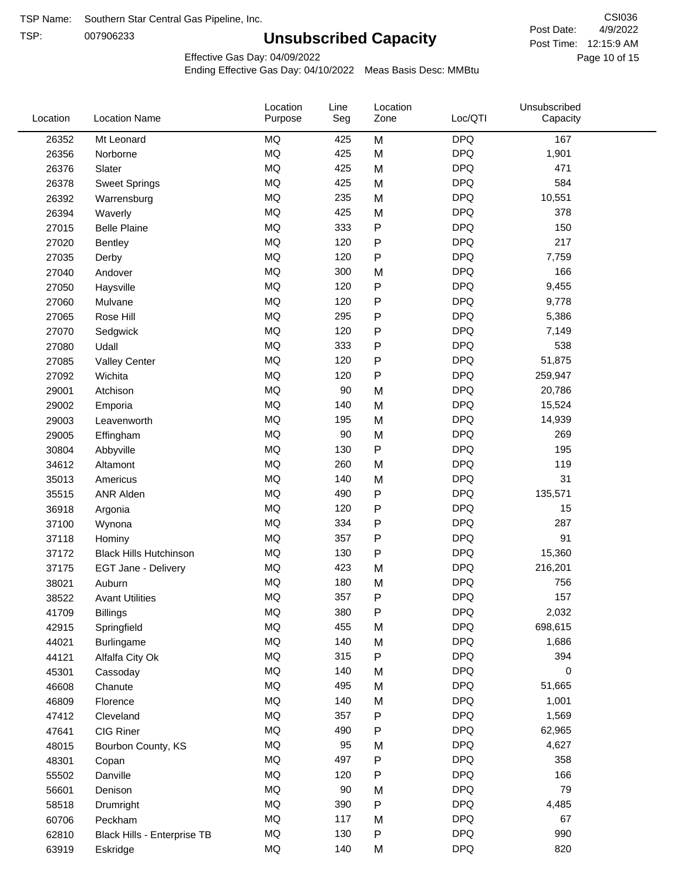TSP:

# **Unsubscribed Capacity**

4/9/2022 Page 10 of 15 Post Time: 12:15:9 AM CSI036 Post Date:

Effective Gas Day: 04/09/2022

| Location | <b>Location Name</b>          | Location<br>Purpose | Line<br>Seg | Location<br>Zone | Loc/QTI    | Unsubscribed<br>Capacity |  |
|----------|-------------------------------|---------------------|-------------|------------------|------------|--------------------------|--|
| 26352    | Mt Leonard                    | <b>MQ</b>           | 425         | M                | <b>DPQ</b> | 167                      |  |
| 26356    | Norborne                      | MQ                  | 425         | M                | <b>DPQ</b> | 1,901                    |  |
| 26376    | Slater                        | MQ                  | 425         | M                | <b>DPQ</b> | 471                      |  |
| 26378    | <b>Sweet Springs</b>          | MQ                  | 425         | M                | <b>DPQ</b> | 584                      |  |
| 26392    | Warrensburg                   | <b>MQ</b>           | 235         | M                | <b>DPQ</b> | 10,551                   |  |
| 26394    | Waverly                       | <b>MQ</b>           | 425         | M                | <b>DPQ</b> | 378                      |  |
| 27015    | <b>Belle Plaine</b>           | MQ                  | 333         | P                | <b>DPQ</b> | 150                      |  |
| 27020    | <b>Bentley</b>                | <b>MQ</b>           | 120         | P                | <b>DPQ</b> | 217                      |  |
| 27035    | Derby                         | MQ                  | 120         | P                | <b>DPQ</b> | 7,759                    |  |
| 27040    | Andover                       | <b>MQ</b>           | 300         | M                | <b>DPQ</b> | 166                      |  |
| 27050    | Haysville                     | MQ                  | 120         | P                | <b>DPQ</b> | 9,455                    |  |
| 27060    | Mulvane                       | MQ                  | 120         | P                | <b>DPQ</b> | 9,778                    |  |
| 27065    | Rose Hill                     | MQ                  | 295         | P                | <b>DPQ</b> | 5,386                    |  |
| 27070    | Sedgwick                      | <b>MQ</b>           | 120         | P                | <b>DPQ</b> | 7,149                    |  |
| 27080    | Udall                         | <b>MQ</b>           | 333         | P                | <b>DPQ</b> | 538                      |  |
| 27085    | <b>Valley Center</b>          | <b>MQ</b>           | 120         | P                | <b>DPQ</b> | 51,875                   |  |
| 27092    | Wichita                       | MQ                  | 120         | $\mathsf{P}$     | <b>DPQ</b> | 259,947                  |  |
| 29001    | Atchison                      | MQ                  | 90          | M                | <b>DPQ</b> | 20,786                   |  |
| 29002    | Emporia                       | MQ                  | 140         | M                | <b>DPQ</b> | 15,524                   |  |
| 29003    | Leavenworth                   | MQ                  | 195         | M                | <b>DPQ</b> | 14,939                   |  |
| 29005    | Effingham                     | MQ                  | 90          | M                | <b>DPQ</b> | 269                      |  |
| 30804    | Abbyville                     | MQ                  | 130         | P                | <b>DPQ</b> | 195                      |  |
| 34612    | Altamont                      | <b>MQ</b>           | 260         | M                | <b>DPQ</b> | 119                      |  |
| 35013    | Americus                      | <b>MQ</b>           | 140         | M                | <b>DPQ</b> | 31                       |  |
| 35515    | <b>ANR Alden</b>              | <b>MQ</b>           | 490         | P                | <b>DPQ</b> | 135,571                  |  |
| 36918    | Argonia                       | MQ                  | 120         | P                | <b>DPQ</b> | 15                       |  |
| 37100    | Wynona                        | MQ                  | 334         | P                | <b>DPQ</b> | 287                      |  |
| 37118    | Hominy                        | <b>MQ</b>           | 357         | P                | <b>DPQ</b> | 91                       |  |
| 37172    | <b>Black Hills Hutchinson</b> | MQ                  | 130         | P                | <b>DPQ</b> | 15,360                   |  |
| 37175    | EGT Jane - Delivery           | MQ                  | 423         | M                | <b>DPQ</b> | 216,201                  |  |
| 38021    | Auburn                        | MQ                  | 180         | M                | <b>DPQ</b> | 756                      |  |
| 38522    | <b>Avant Utilities</b>        | MQ                  | 357         | P                | <b>DPQ</b> | 157                      |  |
| 41709    | <b>Billings</b>               | MQ                  | 380         | P                | <b>DPQ</b> | 2,032                    |  |
| 42915    | Springfield                   | MQ                  | 455         | M                | <b>DPQ</b> | 698,615                  |  |
| 44021    | Burlingame                    | <b>MQ</b>           | 140         | M                | <b>DPQ</b> | 1,686                    |  |
| 44121    | Alfalfa City Ok               | $\sf{MQ}$           | 315         | ${\sf P}$        | <b>DPQ</b> | 394                      |  |
| 45301    | Cassoday                      | MQ                  | 140         | M                | <b>DPQ</b> | 0                        |  |
| 46608    | Chanute                       | MQ                  | 495         | M                | <b>DPQ</b> | 51,665                   |  |
| 46809    | Florence                      | MQ                  | 140         | M                | <b>DPQ</b> | 1,001                    |  |
| 47412    | Cleveland                     | MQ                  | 357         | P                | <b>DPQ</b> | 1,569                    |  |
| 47641    | CIG Riner                     | MQ                  | 490         | P                | <b>DPQ</b> | 62,965                   |  |
| 48015    | Bourbon County, KS            | MQ                  | 95          | M                | <b>DPQ</b> | 4,627                    |  |
| 48301    | Copan                         | MQ                  | 497         | P                | <b>DPQ</b> | 358                      |  |
| 55502    | Danville                      | $\sf{MQ}$           | 120         | P                | <b>DPQ</b> | 166                      |  |
| 56601    | Denison                       | MQ                  | $90\,$      | M                | <b>DPQ</b> | 79                       |  |
| 58518    | Drumright                     | MQ                  | 390         | P                | <b>DPQ</b> | 4,485                    |  |
| 60706    | Peckham                       | MQ                  | 117         | M                | <b>DPQ</b> | 67                       |  |
| 62810    | Black Hills - Enterprise TB   | $\sf{MQ}$           | 130         | ${\sf P}$        | <b>DPQ</b> | 990                      |  |
| 63919    | Eskridge                      | $\sf{MQ}$           | 140         | M                | <b>DPQ</b> | 820                      |  |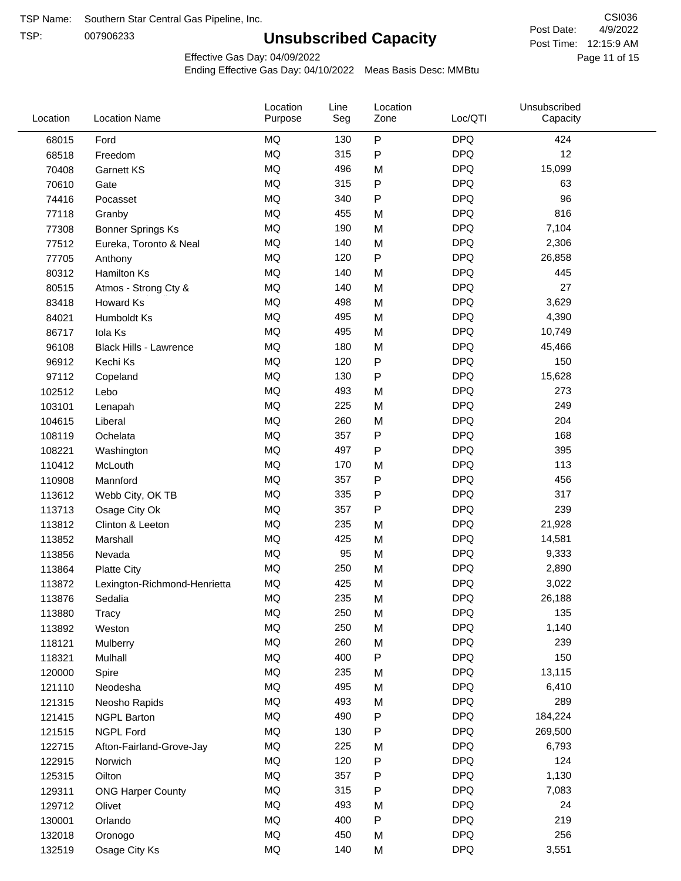TSP:

# **Unsubscribed Capacity**

4/9/2022 Page 11 of 15 Post Time: 12:15:9 AM CSI036 Post Date:

Effective Gas Day: 04/09/2022

| Location | <b>Location Name</b>         | Location<br>Purpose | Line<br>Seg | Location<br>Zone | Loc/QTI    | Unsubscribed<br>Capacity |  |
|----------|------------------------------|---------------------|-------------|------------------|------------|--------------------------|--|
| 68015    | Ford                         | <b>MQ</b>           | 130         | P                | <b>DPQ</b> | 424                      |  |
| 68518    | Freedom                      | MQ                  | 315         | P                | <b>DPQ</b> | 12                       |  |
| 70408    | <b>Garnett KS</b>            | <b>MQ</b>           | 496         | M                | <b>DPQ</b> | 15,099                   |  |
| 70610    | Gate                         | <b>MQ</b>           | 315         | P                | <b>DPQ</b> | 63                       |  |
| 74416    | Pocasset                     | <b>MQ</b>           | 340         | P                | <b>DPQ</b> | 96                       |  |
| 77118    | Granby                       | <b>MQ</b>           | 455         | M                | <b>DPQ</b> | 816                      |  |
| 77308    | Bonner Springs Ks            | <b>MQ</b>           | 190         | M                | <b>DPQ</b> | 7,104                    |  |
| 77512    | Eureka, Toronto & Neal       | MQ                  | 140         | M                | <b>DPQ</b> | 2,306                    |  |
| 77705    | Anthony                      | <b>MQ</b>           | 120         | ${\sf P}$        | <b>DPQ</b> | 26,858                   |  |
| 80312    | Hamilton Ks                  | MQ                  | 140         | M                | <b>DPQ</b> | 445                      |  |
| 80515    | Atmos - Strong Cty &         | MQ                  | 140         | M                | <b>DPQ</b> | 27                       |  |
| 83418    | Howard Ks                    | <b>MQ</b>           | 498         | M                | <b>DPQ</b> | 3,629                    |  |
| 84021    | Humboldt Ks                  | <b>MQ</b>           | 495         | M                | <b>DPQ</b> | 4,390                    |  |
| 86717    | Iola Ks                      | <b>MQ</b>           | 495         | M                | <b>DPQ</b> | 10,749                   |  |
| 96108    | Black Hills - Lawrence       | <b>MQ</b>           | 180         | M                | <b>DPQ</b> | 45,466                   |  |
| 96912    | Kechi Ks                     | <b>MQ</b>           | 120         | P                | <b>DPQ</b> | 150                      |  |
| 97112    | Copeland                     | MQ                  | 130         | P                | <b>DPQ</b> | 15,628                   |  |
| 102512   | Lebo                         | <b>MQ</b>           | 493         | M                | <b>DPQ</b> | 273                      |  |
| 103101   | Lenapah                      | <b>MQ</b>           | 225         | M                | <b>DPQ</b> | 249                      |  |
| 104615   | Liberal                      | <b>MQ</b>           | 260         | M                | <b>DPQ</b> | 204                      |  |
| 108119   | Ochelata                     | <b>MQ</b>           | 357         | P                | <b>DPQ</b> | 168                      |  |
| 108221   | Washington                   | <b>MQ</b>           | 497         | P                | <b>DPQ</b> | 395                      |  |
| 110412   | McLouth                      | <b>MQ</b>           | 170         | M                | <b>DPQ</b> | 113                      |  |
| 110908   | Mannford                     | <b>MQ</b>           | 357         | P                | <b>DPQ</b> | 456                      |  |
| 113612   | Webb City, OK TB             | MQ                  | 335         | P                | <b>DPQ</b> | 317                      |  |
| 113713   | Osage City Ok                | MQ                  | 357         | P                | <b>DPQ</b> | 239                      |  |
| 113812   | Clinton & Leeton             | <b>MQ</b>           | 235         | M                | <b>DPQ</b> | 21,928                   |  |
| 113852   | Marshall                     | <b>MQ</b>           | 425         | M                | <b>DPQ</b> | 14,581                   |  |
| 113856   | Nevada                       | <b>MQ</b>           | 95          | M                | <b>DPQ</b> | 9,333                    |  |
| 113864   | <b>Platte City</b>           | <b>MQ</b>           | 250         | M                | <b>DPQ</b> | 2,890                    |  |
| 113872   | Lexington-Richmond-Henrietta | <b>MQ</b>           | 425         | M                | <b>DPQ</b> | 3,022                    |  |
| 113876   | Sedalia                      | <b>MQ</b>           | 235         | M                | <b>DPQ</b> | 26,188                   |  |
| 113880   | Tracy                        | MQ                  | 250         | M                | <b>DPQ</b> | 135                      |  |
| 113892   | Weston                       | MQ                  | 250         | M                | <b>DPQ</b> | 1,140                    |  |
| 118121   | Mulberry                     | MQ                  | 260         | M                | <b>DPQ</b> | 239                      |  |
| 118321   | Mulhall                      | MQ                  | 400         | Ρ                | <b>DPQ</b> | 150                      |  |
| 120000   | Spire                        | MQ                  | 235         | M                | <b>DPQ</b> | 13,115                   |  |
| 121110   | Neodesha                     | MQ                  | 495         | M                | <b>DPQ</b> | 6,410                    |  |
| 121315   | Neosho Rapids                | MQ                  | 493         | M                | <b>DPQ</b> | 289                      |  |
| 121415   | <b>NGPL Barton</b>           | MQ                  | 490         | Ρ                | <b>DPQ</b> | 184,224                  |  |
| 121515   | <b>NGPL Ford</b>             | MQ                  | 130         | Ρ                | <b>DPQ</b> | 269,500                  |  |
| 122715   | Afton-Fairland-Grove-Jay     | MQ                  | 225         | M                | <b>DPQ</b> | 6,793                    |  |
| 122915   | Norwich                      | MQ                  | 120         | Ρ                | <b>DPQ</b> | 124                      |  |
| 125315   | Oilton                       | MQ                  | 357         | Ρ                | <b>DPQ</b> | 1,130                    |  |
| 129311   | <b>ONG Harper County</b>     | MQ                  | 315         | P                | <b>DPQ</b> | 7,083                    |  |
| 129712   | Olivet                       | MQ                  | 493         | M                | <b>DPQ</b> | 24                       |  |
| 130001   | Orlando                      | MQ                  | 400         | P                | <b>DPQ</b> | 219                      |  |
| 132018   | Oronogo                      | MQ                  | 450         | M                | <b>DPQ</b> | 256                      |  |
| 132519   | Osage City Ks                | MQ                  | 140         | M                | <b>DPQ</b> | 3,551                    |  |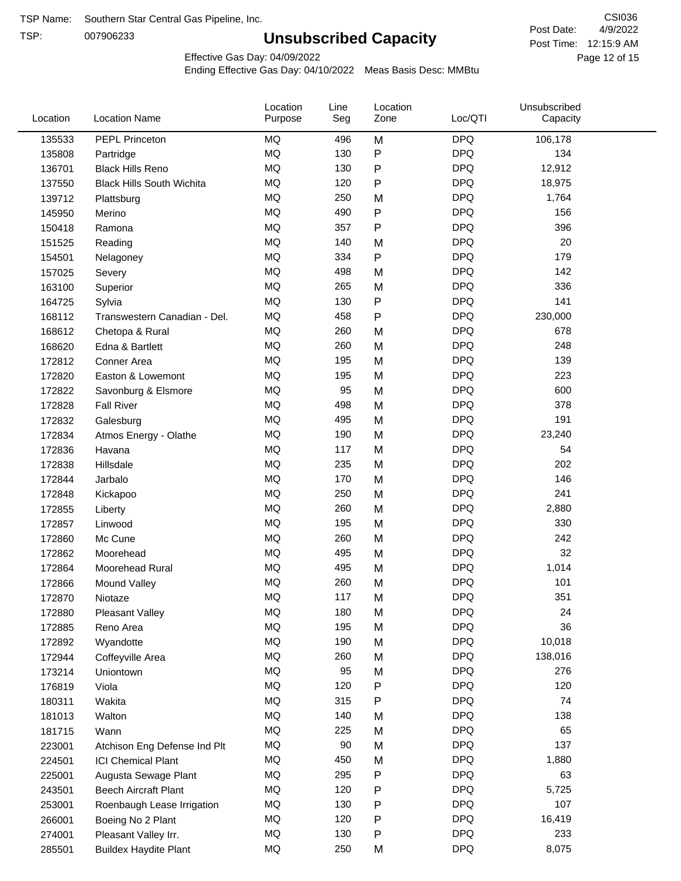TSP:

# **Unsubscribed Capacity**

4/9/2022 Page 12 of 15 Post Time: 12:15:9 AM CSI036 Post Date:

Effective Gas Day: 04/09/2022

| Location | <b>Location Name</b>             | Location<br>Purpose | Line<br>Seg | Location<br>Zone | Loc/QTI    | Unsubscribed<br>Capacity |  |
|----------|----------------------------------|---------------------|-------------|------------------|------------|--------------------------|--|
| 135533   | PEPL Princeton                   | <b>MQ</b>           | 496         | M                | <b>DPQ</b> | 106,178                  |  |
| 135808   | Partridge                        | <b>MQ</b>           | 130         | ${\sf P}$        | <b>DPQ</b> | 134                      |  |
| 136701   | <b>Black Hills Reno</b>          | MQ                  | 130         | $\mathsf{P}$     | <b>DPQ</b> | 12,912                   |  |
| 137550   | <b>Black Hills South Wichita</b> | <b>MQ</b>           | 120         | $\mathsf{P}$     | <b>DPQ</b> | 18,975                   |  |
| 139712   | Plattsburg                       | <b>MQ</b>           | 250         | M                | <b>DPQ</b> | 1,764                    |  |
| 145950   | Merino                           | <b>MQ</b>           | 490         | $\mathsf{P}$     | <b>DPQ</b> | 156                      |  |
| 150418   | Ramona                           | <b>MQ</b>           | 357         | $\mathsf{P}$     | <b>DPQ</b> | 396                      |  |
| 151525   | Reading                          | <b>MQ</b>           | 140         | M                | <b>DPQ</b> | 20                       |  |
| 154501   | Nelagoney                        | <b>MQ</b>           | 334         | $\mathsf{P}$     | <b>DPQ</b> | 179                      |  |
| 157025   | Severy                           | <b>MQ</b>           | 498         | M                | <b>DPQ</b> | 142                      |  |
| 163100   | Superior                         | MQ                  | 265         | M                | <b>DPQ</b> | 336                      |  |
| 164725   | Sylvia                           | MQ                  | 130         | ${\sf P}$        | <b>DPQ</b> | 141                      |  |
| 168112   | Transwestern Canadian - Del.     | <b>MQ</b>           | 458         | $\mathsf{P}$     | <b>DPQ</b> | 230,000                  |  |
| 168612   | Chetopa & Rural                  | <b>MQ</b>           | 260         | M                | <b>DPQ</b> | 678                      |  |
| 168620   | Edna & Bartlett                  | MQ                  | 260         | M                | <b>DPQ</b> | 248                      |  |
| 172812   | Conner Area                      | MQ                  | 195         | M                | <b>DPQ</b> | 139                      |  |
| 172820   | Easton & Lowemont                | MQ                  | 195         | M                | <b>DPQ</b> | 223                      |  |
| 172822   | Savonburg & Elsmore              | MQ                  | 95          | M                | <b>DPQ</b> | 600                      |  |
| 172828   | <b>Fall River</b>                | <b>MQ</b>           | 498         | M                | <b>DPQ</b> | 378                      |  |
| 172832   | Galesburg                        | <b>MQ</b>           | 495         | M                | <b>DPQ</b> | 191                      |  |
| 172834   | Atmos Energy - Olathe            | <b>MQ</b>           | 190         | M                | <b>DPQ</b> | 23,240                   |  |
| 172836   | Havana                           | <b>MQ</b>           | 117         | M                | <b>DPQ</b> | 54                       |  |
| 172838   | Hillsdale                        | <b>MQ</b>           | 235         | M                | <b>DPQ</b> | 202                      |  |
| 172844   | Jarbalo                          | <b>MQ</b>           | 170         | M                | <b>DPQ</b> | 146                      |  |
| 172848   | Kickapoo                         | <b>MQ</b>           | 250         | M                | <b>DPQ</b> | 241                      |  |
| 172855   | Liberty                          | <b>MQ</b>           | 260         | M                | <b>DPQ</b> | 2,880                    |  |
| 172857   | Linwood                          | <b>MQ</b>           | 195         | M                | <b>DPQ</b> | 330                      |  |
| 172860   | Mc Cune                          | <b>MQ</b>           | 260         | M                | <b>DPQ</b> | 242                      |  |
| 172862   | Moorehead                        | <b>MQ</b>           | 495         | M                | <b>DPQ</b> | 32                       |  |
| 172864   | Moorehead Rural                  | <b>MQ</b>           | 495         | M                | <b>DPQ</b> | 1,014                    |  |
| 172866   | Mound Valley                     | <b>MQ</b>           | 260         | M                | <b>DPQ</b> | 101                      |  |
| 172870   | Niotaze                          | MQ                  | 117         | М                | <b>DPQ</b> | 351                      |  |
| 172880   | <b>Pleasant Valley</b>           | MQ                  | 180         | M                | <b>DPQ</b> | 24                       |  |
| 172885   | Reno Area                        | MQ                  | 195         | M                | <b>DPQ</b> | 36                       |  |
| 172892   | Wyandotte                        | <b>MQ</b>           | 190         | M                | <b>DPQ</b> | 10,018                   |  |
| 172944   | Coffeyville Area                 | <b>MQ</b>           | 260         | M                | <b>DPQ</b> | 138,016                  |  |
| 173214   | Uniontown                        | MQ                  | 95          | M                | <b>DPQ</b> | 276                      |  |
| 176819   | Viola                            | MQ                  | 120         | P                | <b>DPQ</b> | 120                      |  |
| 180311   | Wakita                           | <b>MQ</b>           | 315         | $\mathsf{P}$     | <b>DPQ</b> | 74                       |  |
| 181013   | Walton                           | MQ                  | 140         | M                | <b>DPQ</b> | 138                      |  |
| 181715   | Wann                             | MQ                  | 225         | M                | <b>DPQ</b> | 65                       |  |
| 223001   | Atchison Eng Defense Ind Plt     | MQ                  | 90          | M                | <b>DPQ</b> | 137                      |  |
| 224501   | <b>ICI Chemical Plant</b>        | $\sf{MQ}$           | 450         | M                | <b>DPQ</b> | 1,880                    |  |
| 225001   | Augusta Sewage Plant             | MQ                  | 295         | ${\sf P}$        | <b>DPQ</b> | 63                       |  |
| 243501   | <b>Beech Aircraft Plant</b>      | MQ                  | 120         | ${\sf P}$        | <b>DPQ</b> | 5,725                    |  |
| 253001   | Roenbaugh Lease Irrigation       | MQ                  | 130         | ${\sf P}$        | <b>DPQ</b> | 107                      |  |
| 266001   | Boeing No 2 Plant                | MQ                  | 120         | ${\sf P}$        | <b>DPQ</b> | 16,419                   |  |
| 274001   | Pleasant Valley Irr.             | MQ                  | 130         | ${\sf P}$        | <b>DPQ</b> | 233                      |  |
| 285501   | <b>Buildex Haydite Plant</b>     | MQ                  | 250         | M                | <b>DPQ</b> | 8,075                    |  |
|          |                                  |                     |             |                  |            |                          |  |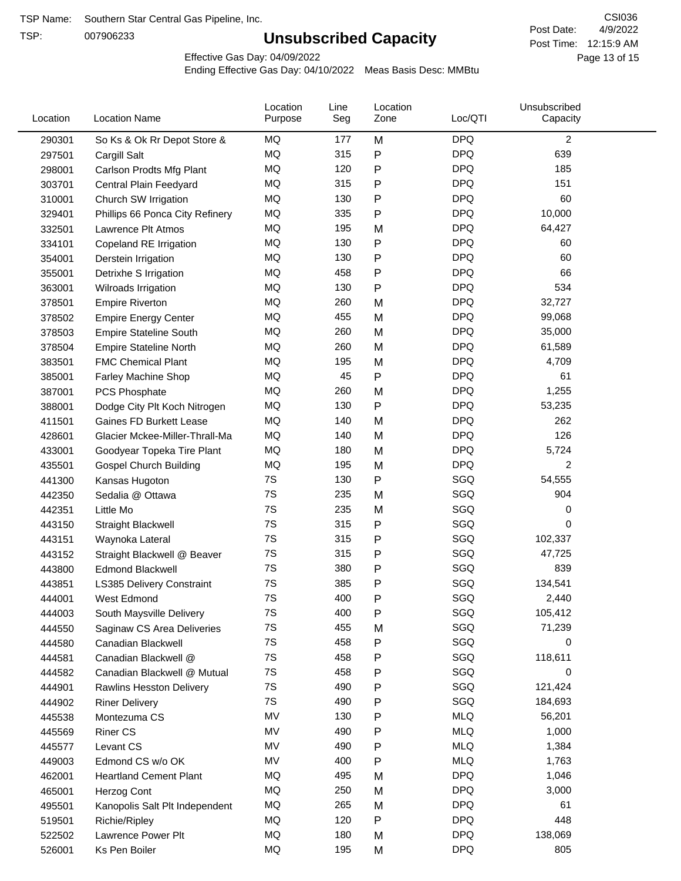TSP:

# **Unsubscribed Capacity**

4/9/2022 Page 13 of 15 Post Time: 12:15:9 AM CSI036 Post Date:

Effective Gas Day: 04/09/2022

| Location | <b>Location Name</b>            | Location<br>Purpose | Line<br>Seg | Location<br>Zone | Loc/QTI    | Unsubscribed<br>Capacity |  |
|----------|---------------------------------|---------------------|-------------|------------------|------------|--------------------------|--|
| 290301   | So Ks & Ok Rr Depot Store &     | MQ                  | 177         | M                | <b>DPQ</b> | $\overline{c}$           |  |
| 297501   | Cargill Salt                    | MQ                  | 315         | P                | <b>DPQ</b> | 639                      |  |
| 298001   | Carlson Prodts Mfg Plant        | MQ                  | 120         | P                | <b>DPQ</b> | 185                      |  |
| 303701   | Central Plain Feedyard          | MQ                  | 315         | P                | <b>DPQ</b> | 151                      |  |
| 310001   | Church SW Irrigation            | MQ                  | 130         | P                | <b>DPQ</b> | 60                       |  |
| 329401   | Phillips 66 Ponca City Refinery | MQ                  | 335         | P                | <b>DPQ</b> | 10,000                   |  |
| 332501   | Lawrence Plt Atmos              | MQ                  | 195         | M                | <b>DPQ</b> | 64,427                   |  |
| 334101   | Copeland RE Irrigation          | MQ                  | 130         | Ρ                | <b>DPQ</b> | 60                       |  |
| 354001   | Derstein Irrigation             | <b>MQ</b>           | 130         | P                | <b>DPQ</b> | 60                       |  |
| 355001   | Detrixhe S Irrigation           | MQ                  | 458         | Ρ                | <b>DPQ</b> | 66                       |  |
| 363001   | Wilroads Irrigation             | MQ                  | 130         | P                | <b>DPQ</b> | 534                      |  |
| 378501   | <b>Empire Riverton</b>          | MQ                  | 260         | M                | <b>DPQ</b> | 32,727                   |  |
| 378502   | <b>Empire Energy Center</b>     | MQ                  | 455         | M                | <b>DPQ</b> | 99,068                   |  |
| 378503   | <b>Empire Stateline South</b>   | <b>MQ</b>           | 260         | M                | <b>DPQ</b> | 35,000                   |  |
| 378504   | <b>Empire Stateline North</b>   | MQ                  | 260         | M                | <b>DPQ</b> | 61,589                   |  |
| 383501   | <b>FMC Chemical Plant</b>       | MQ                  | 195         | M                | <b>DPQ</b> | 4,709                    |  |
| 385001   | Farley Machine Shop             | MQ                  | 45          | P                | <b>DPQ</b> | 61                       |  |
| 387001   | PCS Phosphate                   | MQ                  | 260         | M                | <b>DPQ</b> | 1,255                    |  |
| 388001   | Dodge City Plt Koch Nitrogen    | MQ                  | 130         | P                | <b>DPQ</b> | 53,235                   |  |
| 411501   | Gaines FD Burkett Lease         | MQ                  | 140         | M                | <b>DPQ</b> | 262                      |  |
| 428601   | Glacier Mckee-Miller-Thrall-Ma  | MQ                  | 140         | M                | <b>DPQ</b> | 126                      |  |
| 433001   | Goodyear Topeka Tire Plant      | MQ                  | 180         | M                | <b>DPQ</b> | 5,724                    |  |
| 435501   | <b>Gospel Church Building</b>   | <b>MQ</b>           | 195         | M                | <b>DPQ</b> | 2                        |  |
| 441300   | Kansas Hugoton                  | 7S                  | 130         | Ρ                | SGQ        | 54,555                   |  |
| 442350   | Sedalia @ Ottawa                | 7S                  | 235         | M                | SGQ        | 904                      |  |
| 442351   | Little Mo                       | 7S                  | 235         | M                | SGQ        | 0                        |  |
| 443150   | <b>Straight Blackwell</b>       | 7S                  | 315         | P                | SGQ        | 0                        |  |
| 443151   | Waynoka Lateral                 | 7S                  | 315         | P                | SGQ        | 102,337                  |  |
| 443152   | Straight Blackwell @ Beaver     | 7S                  | 315         | Ρ                | SGQ        | 47,725                   |  |
| 443800   | <b>Edmond Blackwell</b>         | 7S                  | 380         | P                | SGQ        | 839                      |  |
| 443851   | LS385 Delivery Constraint       | 7S                  | 385         | Ρ                | SGQ        | 134,541                  |  |
| 444001   | West Edmond                     | 7S                  | 400         | Ρ                | SGQ        | 2,440                    |  |
| 444003   | South Maysville Delivery        | 7S                  | 400         | Ρ                | SGQ        | 105,412                  |  |
| 444550   | Saginaw CS Area Deliveries      | 7S                  | 455         | M                | SGQ        | 71,239                   |  |
| 444580   | Canadian Blackwell              | 7S                  | 458         | P                | SGQ        | 0                        |  |
| 444581   | Canadian Blackwell @            | 7S                  | 458         | Ρ                | SGQ        | 118,611                  |  |
| 444582   | Canadian Blackwell @ Mutual     | 7S                  | 458         | Ρ                | SGQ        | 0                        |  |
| 444901   | Rawlins Hesston Delivery        | 7S                  | 490         | Ρ                | SGQ        | 121,424                  |  |
| 444902   | <b>Riner Delivery</b>           | 7S                  | 490         | P                | SGQ        | 184,693                  |  |
| 445538   | Montezuma CS                    | MV                  | 130         | Ρ                | <b>MLQ</b> | 56,201                   |  |
| 445569   | <b>Riner CS</b>                 | MV                  | 490         | P                | <b>MLQ</b> | 1,000                    |  |
| 445577   | Levant CS                       | MV                  | 490         | P                | <b>MLQ</b> | 1,384                    |  |
| 449003   | Edmond CS w/o OK                | MV                  | 400         | P                | <b>MLQ</b> | 1,763                    |  |
| 462001   | <b>Heartland Cement Plant</b>   | MQ                  | 495         | M                | <b>DPQ</b> | 1,046                    |  |
| 465001   | Herzog Cont                     | MQ                  | 250         | M                | <b>DPQ</b> | 3,000                    |  |
| 495501   | Kanopolis Salt Plt Independent  | MQ                  | 265         | M                | <b>DPQ</b> | 61                       |  |
| 519501   | Richie/Ripley                   | MQ                  | 120         | P                | <b>DPQ</b> | 448                      |  |
| 522502   | Lawrence Power Plt              | MQ                  | 180         | M                | <b>DPQ</b> | 138,069                  |  |
| 526001   | Ks Pen Boiler                   | MQ                  | 195         | M                | <b>DPQ</b> | 805                      |  |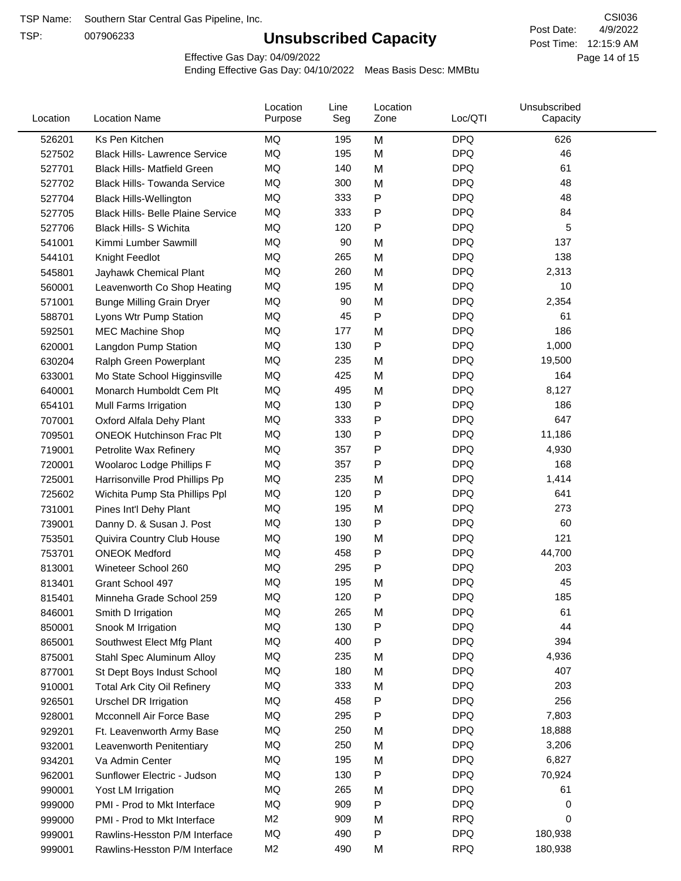TSP:

# **Unsubscribed Capacity**

4/9/2022 Page 14 of 15 Post Time: 12:15:9 AM CSI036 Post Date:

Effective Gas Day: 04/09/2022

| Location | <b>Location Name</b>                     | Location<br>Purpose | Line<br>Seg | Location<br>Zone | Loc/QTI    | Unsubscribed<br>Capacity |  |
|----------|------------------------------------------|---------------------|-------------|------------------|------------|--------------------------|--|
| 526201   | Ks Pen Kitchen                           | MQ                  | 195         | M                | <b>DPQ</b> | 626                      |  |
| 527502   | <b>Black Hills- Lawrence Service</b>     | <b>MQ</b>           | 195         | M                | <b>DPQ</b> | 46                       |  |
| 527701   | <b>Black Hills- Matfield Green</b>       | MQ                  | 140         | M                | <b>DPQ</b> | 61                       |  |
| 527702   | <b>Black Hills- Towanda Service</b>      | <b>MQ</b>           | 300         | M                | <b>DPQ</b> | 48                       |  |
| 527704   | <b>Black Hills-Wellington</b>            | <b>MQ</b>           | 333         | P                | <b>DPQ</b> | 48                       |  |
| 527705   | <b>Black Hills- Belle Plaine Service</b> | MQ                  | 333         | P                | <b>DPQ</b> | 84                       |  |
| 527706   | <b>Black Hills- S Wichita</b>            | <b>MQ</b>           | 120         | Ρ                | <b>DPQ</b> | 5                        |  |
| 541001   | Kimmi Lumber Sawmill                     | MQ                  | 90          | M                | <b>DPQ</b> | 137                      |  |
| 544101   | Knight Feedlot                           | MQ                  | 265         | M                | <b>DPQ</b> | 138                      |  |
| 545801   | Jayhawk Chemical Plant                   | MQ                  | 260         | M                | <b>DPQ</b> | 2,313                    |  |
| 560001   | Leavenworth Co Shop Heating              | MQ                  | 195         | M                | <b>DPQ</b> | 10                       |  |
| 571001   | <b>Bunge Milling Grain Dryer</b>         | MQ                  | 90          | M                | <b>DPQ</b> | 2,354                    |  |
| 588701   | Lyons Wtr Pump Station                   | <b>MQ</b>           | 45          | P                | <b>DPQ</b> | 61                       |  |
| 592501   | <b>MEC Machine Shop</b>                  | <b>MQ</b>           | 177         | M                | <b>DPQ</b> | 186                      |  |
| 620001   | Langdon Pump Station                     | MQ                  | 130         | P                | <b>DPQ</b> | 1,000                    |  |
| 630204   | Ralph Green Powerplant                   | MQ                  | 235         | M                | <b>DPQ</b> | 19,500                   |  |
| 633001   | Mo State School Higginsville             | MQ                  | 425         | M                | <b>DPQ</b> | 164                      |  |
| 640001   | Monarch Humboldt Cem Plt                 | MQ                  | 495         | M                | <b>DPQ</b> | 8,127                    |  |
| 654101   | Mull Farms Irrigation                    | MQ                  | 130         | P                | <b>DPQ</b> | 186                      |  |
| 707001   | Oxford Alfala Dehy Plant                 | MQ                  | 333         | P                | <b>DPQ</b> | 647                      |  |
| 709501   | <b>ONEOK Hutchinson Frac Plt</b>         | MQ                  | 130         | P                | <b>DPQ</b> | 11,186                   |  |
| 719001   | Petrolite Wax Refinery                   | MQ                  | 357         | Ρ                | <b>DPQ</b> | 4,930                    |  |
| 720001   | Woolaroc Lodge Phillips F                | <b>MQ</b>           | 357         | Ρ                | <b>DPQ</b> | 168                      |  |
| 725001   | Harrisonville Prod Phillips Pp           | MQ                  | 235         | M                | <b>DPQ</b> | 1,414                    |  |
| 725602   | Wichita Pump Sta Phillips Ppl            | MQ                  | 120         | Ρ                | <b>DPQ</b> | 641                      |  |
| 731001   | Pines Int'l Dehy Plant                   | MQ                  | 195         | M                | <b>DPQ</b> | 273                      |  |
| 739001   | Danny D. & Susan J. Post                 | MQ                  | 130         | Ρ                | <b>DPQ</b> | 60                       |  |
| 753501   | Quivira Country Club House               | MQ                  | 190         | M                | <b>DPQ</b> | 121                      |  |
| 753701   | <b>ONEOK Medford</b>                     | MQ                  | 458         | P                | <b>DPQ</b> | 44,700                   |  |
| 813001   | Wineteer School 260                      | MQ                  | 295         | P                | <b>DPQ</b> | 203                      |  |
| 813401   | Grant School 497                         | <b>MQ</b>           | 195         | M                | <b>DPQ</b> | 45                       |  |
| 815401   | Minneha Grade School 259                 | MQ                  | 120         | Ρ                | <b>DPQ</b> | 185                      |  |
| 846001   | Smith D Irrigation                       | MQ                  | 265         | M                | <b>DPQ</b> | 61                       |  |
| 850001   | Snook M Irrigation                       | MQ                  | 130         | Ρ                | <b>DPQ</b> | 44                       |  |
| 865001   | Southwest Elect Mfg Plant                | MQ                  | 400         | Ρ                | <b>DPQ</b> | 394                      |  |
| 875001   | Stahl Spec Aluminum Alloy                | MQ                  | 235         | M                | <b>DPQ</b> | 4,936                    |  |
| 877001   | St Dept Boys Indust School               | MQ                  | 180         | M                | <b>DPQ</b> | 407                      |  |
| 910001   | <b>Total Ark City Oil Refinery</b>       | MQ                  | 333         | M                | <b>DPQ</b> | 203                      |  |
| 926501   | Urschel DR Irrigation                    | MQ                  | 458         | P                | <b>DPQ</b> | 256                      |  |
| 928001   | Mcconnell Air Force Base                 | MQ                  | 295         | Ρ                | <b>DPQ</b> | 7,803                    |  |
| 929201   | Ft. Leavenworth Army Base                | MQ                  | 250         | M                | <b>DPQ</b> | 18,888                   |  |
| 932001   | Leavenworth Penitentiary                 | MQ                  | 250         | M                | <b>DPQ</b> | 3,206                    |  |
| 934201   | Va Admin Center                          | MQ                  | 195         | M                | <b>DPQ</b> | 6,827                    |  |
| 962001   | Sunflower Electric - Judson              | MQ                  | 130         | Ρ                | <b>DPQ</b> | 70,924                   |  |
| 990001   | Yost LM Irrigation                       | MQ                  | 265         | M                | <b>DPQ</b> | 61                       |  |
| 999000   | PMI - Prod to Mkt Interface              | MQ                  | 909         | P                | <b>DPQ</b> | 0                        |  |
| 999000   | PMI - Prod to Mkt Interface              | M <sub>2</sub>      | 909         | M                | <b>RPQ</b> | 0                        |  |
| 999001   | Rawlins-Hesston P/M Interface            | MQ                  | 490         | Ρ                | <b>DPQ</b> | 180,938                  |  |
| 999001   | Rawlins-Hesston P/M Interface            | M <sub>2</sub>      | 490         | M                | <b>RPQ</b> | 180,938                  |  |